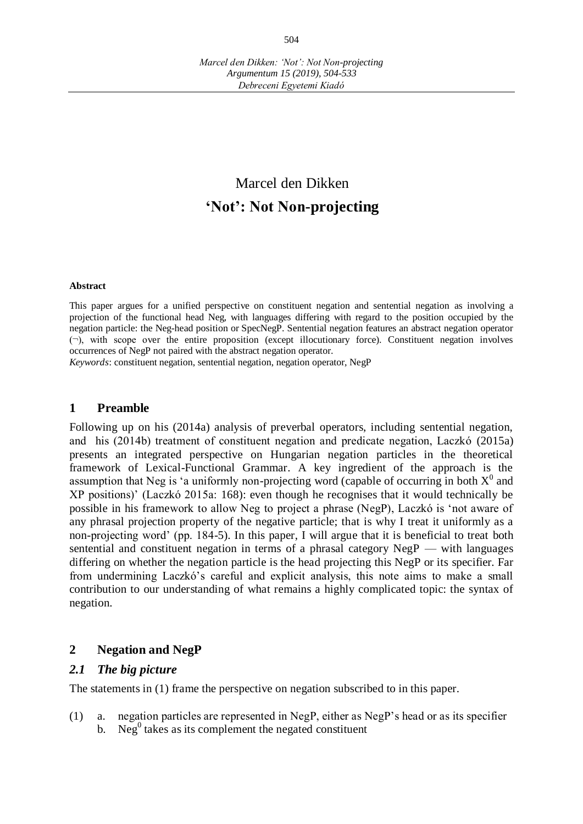504

# Marcel den Dikken **'Not': Not Non-projecting**

#### **Abstract**

This paper argues for a unified perspective on constituent negation and sentential negation as involving a projection of the functional head Neg, with languages differing with regard to the position occupied by the negation particle: the Neg-head position or SpecNegP. Sentential negation features an abstract negation operator  $(\neg)$ , with scope over the entire proposition (except illocutionary force). Constituent negation involves occurrences of NegP not paired with the abstract negation operator.

*Keywords*: constituent negation, sentential negation, negation operator, NegP

#### **1 Preamble**

Following up on his (2014a) analysis of preverbal operators, including sentential negation, and his (2014b) treatment of constituent negation and predicate negation, Laczkó (2015a) presents an integrated perspective on Hungarian negation particles in the theoretical framework of Lexical-Functional Grammar. A key ingredient of the approach is the assumption that Neg is 'a uniformly non-projecting word (capable of occurring in both  $X^0$  and XP positions)' (Laczkó 2015a: 168): even though he recognises that it would technically be possible in his framework to allow Neg to project a phrase (NegP), Laczkó is 'not aware of any phrasal projection property of the negative particle; that is why I treat it uniformly as a non-projecting word' (pp. 184-5). In this paper, I will argue that it is beneficial to treat both sentential and constituent negation in terms of a phrasal category  $NegP$  — with languages differing on whether the negation particle is the head projecting this NegP or its specifier. Far from undermining Laczkó's careful and explicit analysis, this note aims to make a small contribution to our understanding of what remains a highly complicated topic: the syntax of negation.

#### **2 Negation and NegP**

#### *2.1 The big picture*

The statements in (1) frame the perspective on negation subscribed to in this paper.

(1) a. negation particles are represented in NegP, either as NegP's head or as its specifier b. Neg $<sup>0</sup>$  takes as its complement the negated constituent</sup>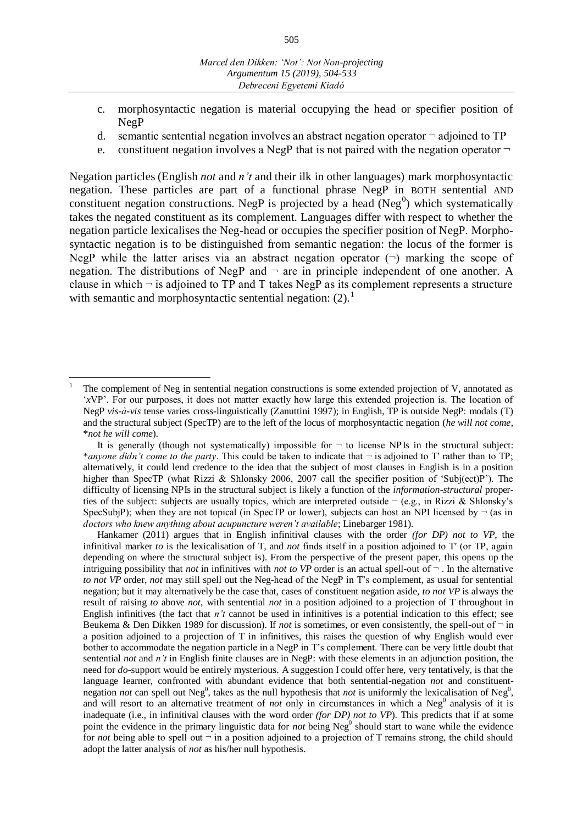- c. morphosyntactic negation is material occupying the head or specifier position of NegP
- d. semantic sentential negation involves an abstract negation operator  $\neg$  adjoined to TP
- e. constituent negation involves a NegP that is not paired with the negation operator  $\neg$

Negation particles (English *not* and *n't* and their ilk in other languages) mark morphosyntactic negation. These particles are part of a functional phrase NegP in BOTH sentential AND constituent negation constructions. NegP is projected by a head (Neg<sup>0</sup>) which systematically takes the negated constituent as its complement. Languages differ with respect to whether the negation particle lexicalises the Neg-head or occupies the specifier position of NegP. Morphosyntactic negation is to be distinguished from semantic negation: the locus of the former is NegP while the latter arises via an abstract negation operator  $(\neg)$  marking the scope of negation. The distributions of NegP and  $\neg$  are in principle independent of one another. A clause in which  $\neg$  is adjoined to TP and T takes NegP as its complement represents a structure with semantic and morphosyntactic sentential negation:  $(2)$ .<sup>1</sup>

 $\overline{\phantom{a}}$ 1

The complement of Neg in sentential negation constructions is some extended projection of V, annotated as '*x*VP'. For our purposes, it does not matter exactly how large this extended projection is. The location of NegP *vis-à-vis* tense varies cross-linguistically (Zanuttini 1997); in English, TP is outside NegP: modals (T) and the structural subject (SpecTP) are to the left of the locus of morphosyntactic negation (*he will not come*, \**not he will come*).

It is generally (though not systematically) impossible for  $\neg$  to license NPIs in the structural subject: \**anyone didn't come to the party*. This could be taken to indicate that ¬ is adjoined to Tʹ rather than to TP; alternatively, it could lend credence to the idea that the subject of most clauses in English is in a position higher than SpecTP (what Rizzi & Shlonsky 2006, 2007 call the specifier position of 'Subj(ect)P'). The difficulty of licensing NPIs in the structural subject is likely a function of the *information-structural* properties of the subject: subjects are usually topics, which are interpreted outside  $\neg$  (e.g., in Rizzi & Shlonsky's SpecSubjP); when they are not topical (in SpecTP or lower), subjects can host an NPI licensed by  $\neg$  (as in *doctors who knew anything about acupuncture weren't available*; Linebarger 1981).

Hankamer (2011) argues that in English infinitival clauses with the order *(for DP) not to VP*, the infinitival marker *to* is the lexicalisation of T, and *not* finds itself in a position adjoined to Tʹ (or TP, again depending on where the structural subject is). From the perspective of the present paper, this opens up the intriguing possibility that *not* in infinitives with *not to VP* order is an actual spell-out of  $\neg$ . In the alternative *to not VP* order, *not* may still spell out the Neg-head of the NegP in T's complement, as usual for sentential negation; but it may alternatively be the case that, cases of constituent negation aside, *to not VP* is always the result of raising *to* above *not*, with sentential *not* in a position adjoined to a projection of T throughout in English infinitives (the fact that *n't* cannot be used in infinitives is a potential indication to this effect; see Beukema & Den Dikken 1989 for discussion). If *not* is sometimes, or even consistently, the spell-out of  $\neg$  in a position adjoined to a projection of T in infinitives, this raises the question of why English would ever bother to accommodate the negation particle in a NegP in T's complement. There can be very little doubt that sentential *not* and *n't* in English finite clauses are in NegP: with these elements in an adjunction position, the need for *do*-support would be entirely mysterious. A suggestion I could offer here, very tentatively, is that the language learner, confronted with abundant evidence that both sentential-negation *not* and constituentnegation *not* can spell out Neg<sup>0</sup>, takes as the null hypothesis that *not* is uniformly the lexicalisation of Neg<sup>0</sup>, and will resort to an alternative treatment of *not* only in circumstances in which a Neg<sup>0</sup> analysis of it is inadequate (i.e., in infinitival clauses with the word order *(for DP) not to VP*). This predicts that if at some point the evidence in the primary linguistic data for *not* being Neg<sup>0</sup> should start to wane while the evidence for *not* being able to spell out  $\neg$  in a position adjoined to a projection of T remains strong, the child should adopt the latter analysis of *not* as his/her null hypothesis.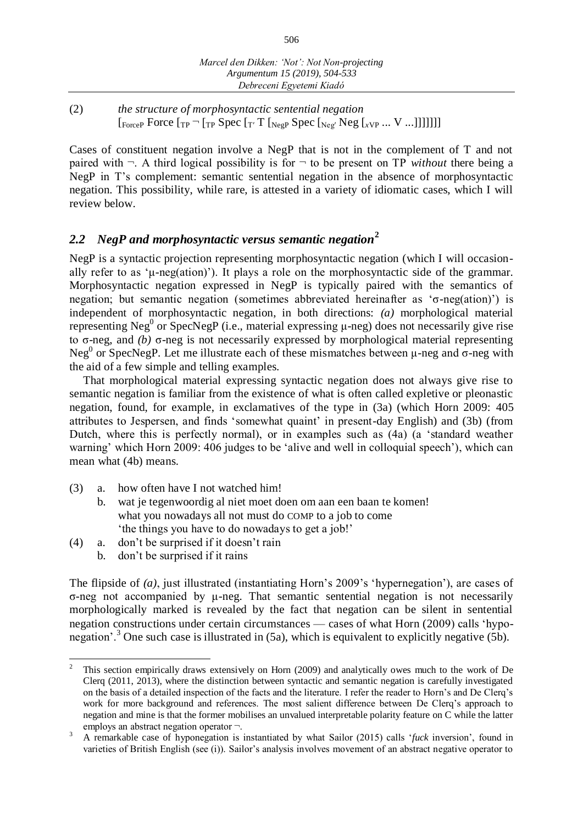(2) *the structure of morphosyntactic sentential negation*  $\left[\text{Force} \right]$  Force  $\left[\text{TP} \right]$   $\left[\text{TP} \right]$   $\text{Spec} \left[\text{TP} \right]$   $\left[\text{Neg} \right]$   $\left[\text{Neg} \right]$   $\left[\text{Neg} \right]$   $\left[\text{TP} \right]$   $\left[\text{TP} \right]$ 

Cases of constituent negation involve a NegP that is not in the complement of T and not paired with ¬. A third logical possibility is for ¬ to be present on TP *without* there being a NegP in T's complement: semantic sentential negation in the absence of morphosyntactic negation. This possibility, while rare, is attested in a variety of idiomatic cases, which I will review below.

# *2.2 NegP and morphosyntactic versus semantic negation***<sup>2</sup>**

NegP is a syntactic projection representing morphosyntactic negation (which I will occasionally refer to as 'μ-neg(ation)'). It plays a role on the morphosyntactic side of the grammar. Morphosyntactic negation expressed in NegP is typically paired with the semantics of negation; but semantic negation (sometimes abbreviated hereinafter as 'σ-neg(ation)') is independent of morphosyntactic negation, in both directions: *(a)* morphological material representing Neg<sup>0</sup> or SpecNegP (i.e., material expressing  $\mu$ -neg) does not necessarily give rise to σ-neg, and *(b)* σ-neg is not necessarily expressed by morphological material representing Neg<sup>0</sup> or SpecNegP. Let me illustrate each of these mismatches between  $\mu$ -neg and  $\sigma$ -neg with the aid of a few simple and telling examples.

That morphological material expressing syntactic negation does not always give rise to semantic negation is familiar from the existence of what is often called expletive or pleonastic negation, found, for example, in exclamatives of the type in (3a) (which Horn 2009: 405 attributes to Jespersen, and finds 'somewhat quaint' in present-day English) and (3b) (from Dutch, where this is perfectly normal), or in examples such as (4a) (a 'standard weather warning' which Horn 2009: 406 judges to be 'alive and well in colloquial speech'), which can mean what (4b) means.

- (3) a. how often have I not watched him!
	- b. wat je tegenwoordig al niet moet doen om aan een baan te komen! what you nowadays all not must do COMP to a job to come 'the things you have to do nowadays to get a job!'
- (4) a. don't be surprised if it doesn't rain
	- b. don't be surprised if it rains

The flipside of *(a)*, just illustrated (instantiating Horn's 2009's 'hypernegation'), are cases of σ-neg not accompanied by μ-neg. That semantic sentential negation is not necessarily morphologically marked is revealed by the fact that negation can be silent in sentential negation constructions under certain circumstances — cases of what Horn (2009) calls 'hyponegation'.<sup>3</sup> One such case is illustrated in  $(5a)$ , which is equivalent to explicitly negative  $(5b)$ .

 $\frac{1}{2}$ This section empirically draws extensively on Horn (2009) and analytically owes much to the work of De Clerq (2011, 2013), where the distinction between syntactic and semantic negation is carefully investigated on the basis of a detailed inspection of the facts and the literature. I refer the reader to Horn's and De Clerq's work for more background and references. The most salient difference between De Clerq's approach to negation and mine is that the former mobilises an unvalued interpretable polarity feature on C while the latter employs an abstract negation operator ¬.

<sup>&</sup>lt;sup>3</sup> A remarkable case of hyponegation is instantiated by what Sailor (2015) calls '*fuck* inversion', found in varieties of British English (see (i)). Sailor's analysis involves movement of an abstract negative operator to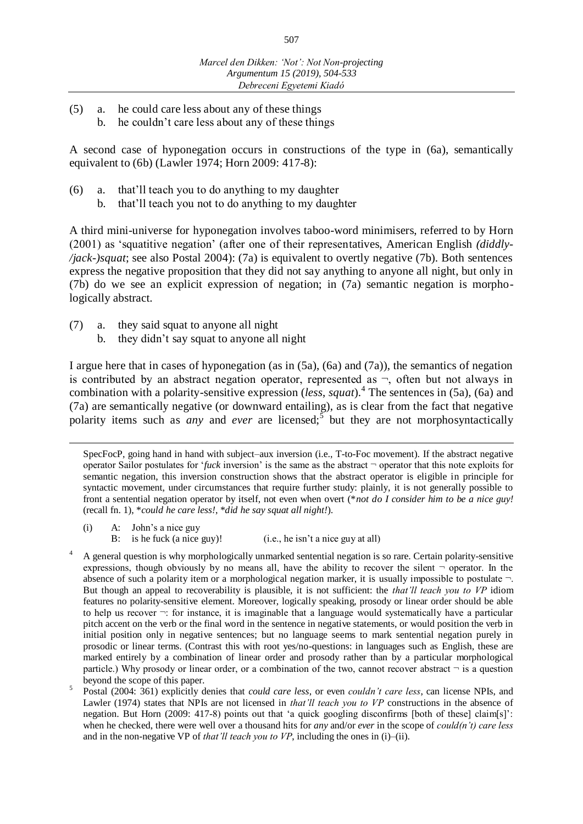(5) a. he could care less about any of these things b. he couldn't care less about any of these things

A second case of hyponegation occurs in constructions of the type in (6a), semantically equivalent to (6b) (Lawler 1974; Horn 2009: 417-8):

- (6) a. that'll teach you to do anything to my daughter
	- b. that'll teach you not to do anything to my daughter

A third mini-universe for hyponegation involves taboo-word minimisers, referred to by Horn (2001) as 'squatitive negation' (after one of their representatives, American English *(diddly- /jack-)squat*; see also Postal 2004): (7a) is equivalent to overtly negative (7b). Both sentences express the negative proposition that they did not say anything to anyone all night, but only in (7b) do we see an explicit expression of negation; in (7a) semantic negation is morphologically abstract.

(7) a. they said squat to anyone all night

 $\overline{a}$ 

b. they didn't say squat to anyone all night

I argue here that in cases of hyponegation (as in  $(5a)$ ,  $(6a)$  and  $(7a)$ ), the semantics of negation is contributed by an abstract negation operator, represented as  $\neg$ , often but not always in combination with a polarity-sensitive expression (*less*, *squat*).<sup>4</sup> The sentences in (5a), (6a) and (7a) are semantically negative (or downward entailing), as is clear from the fact that negative polarity items such as *any* and *ever* are licensed;<sup>5</sup> but they are not morphosyntactically

(i) A: John's a nice guy B: is he fuck (a nice guy)! (i.e., he isn't a nice guy at all)

SpecFocP, going hand in hand with subject–aux inversion (i.e., T-to-Foc movement). If the abstract negative operator Sailor postulates for '*fuck* inversion' is the same as the abstract ¬ operator that this note exploits for semantic negation, this inversion construction shows that the abstract operator is eligible in principle for syntactic movement, under circumstances that require further study: plainly, it is not generally possible to front a sentential negation operator by itself, not even when overt (\**not do I consider him to be a nice guy!* (recall fn. 1), \**could he care less!*, \**did he say squat all night!*).

<sup>4</sup> A general question is why morphologically unmarked sentential negation is so rare. Certain polarity-sensitive expressions, though obviously by no means all, have the ability to recover the silent  $\neg$  operator. In the absence of such a polarity item or a morphological negation marker, it is usually impossible to postulate  $\neg$ . But though an appeal to recoverability is plausible, it is not sufficient: the *that'll teach you to VP* idiom features no polarity-sensitive element. Moreover, logically speaking, prosody or linear order should be able to help us recover ¬: for instance, it is imaginable that a language would systematically have a particular pitch accent on the verb or the final word in the sentence in negative statements, or would position the verb in initial position only in negative sentences; but no language seems to mark sentential negation purely in prosodic or linear terms. (Contrast this with root yes/no-questions: in languages such as English, these are marked entirely by a combination of linear order and prosody rather than by a particular morphological particle.) Why prosody or linear order, or a combination of the two, cannot recover abstract  $\neg$  is a question beyond the scope of this paper.

<sup>5</sup> Postal (2004: 361) explicitly denies that *could care less*, or even *couldn't care less*, can license NPIs, and Lawler (1974) states that NPIs are not licensed in *that'll teach you to VP* constructions in the absence of negation. But Horn (2009: 417-8) points out that 'a quick googling disconfirms [both of these] claim[s]': when he checked, there were well over a thousand hits for *any* and/or *ever* in the scope of *could(n't) care less* and in the non-negative VP of *that'll teach you to VP*, including the ones in (i)–(ii).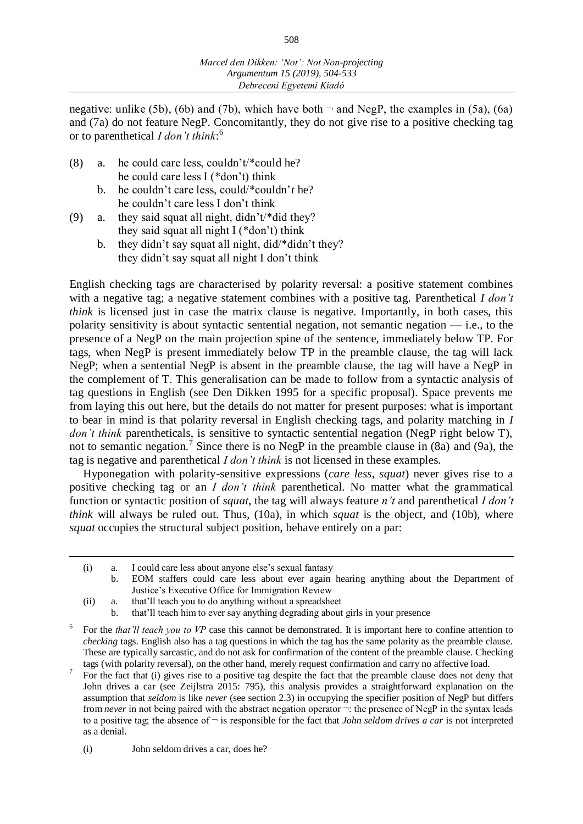negative: unlike (5b), (6b) and (7b), which have both  $\neg$  and NegP, the examples in (5a), (6a) and (7a) do not feature NegP. Concomitantly, they do not give rise to a positive checking tag or to parenthetical *I don't think*: 6

- (8) a. he could care less, couldn't/\*could he? he could care less I (\*don't) think
	- b. he couldn't care less, could/\*couldn'*t* he? he couldn't care less I don't think
- (9) a. they said squat all night, didn't/\*did they? they said squat all night I (\*don't) think
	- b. they didn't say squat all night, did/\*didn't they? they didn't say squat all night I don't think

English checking tags are characterised by polarity reversal: a positive statement combines with a negative tag; a negative statement combines with a positive tag. Parenthetical *I don't think* is licensed just in case the matrix clause is negative. Importantly, in both cases, this polarity sensitivity is about syntactic sentential negation, not semantic negation  $-$  i.e., to the presence of a NegP on the main projection spine of the sentence, immediately below TP. For tags, when NegP is present immediately below TP in the preamble clause, the tag will lack NegP; when a sentential NegP is absent in the preamble clause, the tag will have a NegP in the complement of T. This generalisation can be made to follow from a syntactic analysis of tag questions in English (see Den Dikken 1995 for a specific proposal). Space prevents me from laying this out here, but the details do not matter for present purposes: what is important to bear in mind is that polarity reversal in English checking tags, and polarity matching in *I don't think* parentheticals, is sensitive to syntactic sentential negation (NegP right below T), not to semantic negation.<sup>7</sup> Since there is no NegP in the preamble clause in (8a) and (9a), the tag is negative and parenthetical *I don't think* is not licensed in these examples.

Hyponegation with polarity-sensitive expressions (*care less*, *squat*) never gives rise to a positive checking tag or an *I don't think* parenthetical. No matter what the grammatical function or syntactic position of *squat*, the tag will always feature *n't* and parenthetical *I don't think* will always be ruled out. Thus, (10a), in which *squat* is the object, and (10b), where *squat* occupies the structural subject position, behave entirely on a par:

(ii) a. that'll teach you to do anything without a spreadsheet

 $\overline{a}$ 

<sup>(</sup>i) a. I could care less about anyone else's sexual fantasy

b. EOM staffers could care less about ever again hearing anything about the Department of Justice's Executive Office for Immigration Review

b. that'll teach him to ever say anything degrading about girls in your presence

<sup>6</sup> For the *that'll teach you to VP* case this cannot be demonstrated. It is important here to confine attention to *checking* tags. English also has a tag questions in which the tag has the same polarity as the preamble clause. These are typically sarcastic, and do not ask for confirmation of the content of the preamble clause. Checking tags (with polarity reversal), on the other hand, merely request confirmation and carry no affective load.

<sup>7</sup> For the fact that (i) gives rise to a positive tag despite the fact that the preamble clause does not deny that John drives a car (see Zeijlstra 2015: 795), this analysis provides a straightforward explanation on the assumption that *seldom* is like *never* (see section 2.3) in occupying the specifier position of NegP but differs from *never* in not being paired with the abstract negation operator  $\neg$ : the presence of NegP in the syntax leads to a positive tag; the absence of  $\neg$  is responsible for the fact that *John seldom drives a car* is not interpreted as a denial.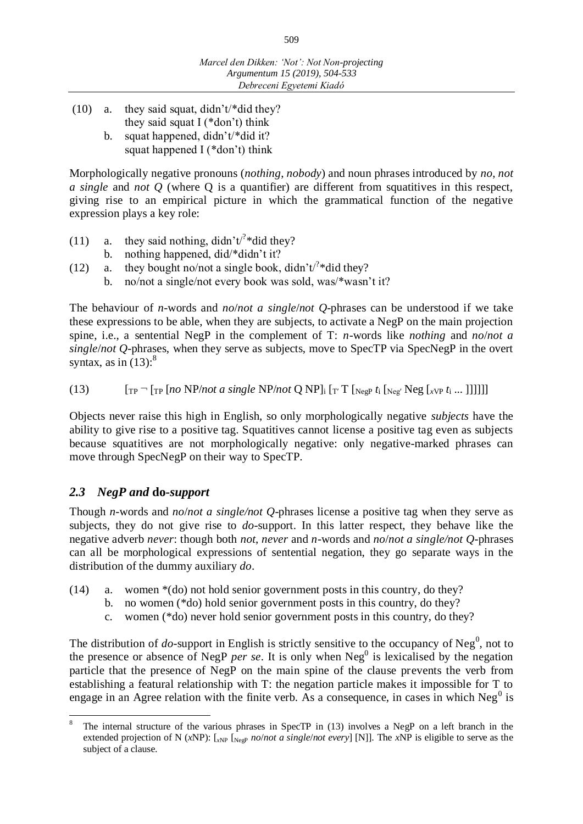- (10) a. they said squat, didn't/\*did they? they said squat I (\*don't) think b. squat happened, didn't/\*did it?
	- squat happened I (\*don't) think

Morphologically negative pronouns (*nothing*, *nobody*) and noun phrases introduced by *no*, *not a single* and *not Q* (where Q is a quantifier) are different from squatitives in this respect, giving rise to an empirical picture in which the grammatical function of the negative expression plays a key role:

- (11) a. they said nothing, didn't<sup> $\ell$ </sup>\*did they?
	- b. nothing happened, did/\*didn't it?
- (12) a. they bought no/not a single book, didn't<sup> $\ell$ </sup>\*did they?
	- b. no/not a single/not every book was sold, was/\*wasn't it?

The behaviour of *n*-words and *no*/*not a single*/*not Q*-phrases can be understood if we take these expressions to be able, when they are subjects, to activate a NegP on the main projection spine, i.e., a sentential NegP in the complement of T: *n*-words like *nothing* and *no*/*not a single*/*not Q*-phrases, when they serve as subjects, move to SpecTP via SpecNegP in the overt syntax, as in  $(13)$ :<sup>8</sup>

(13)  $\left[\text{Tr}\,\text{Tr}\,[\text{Tr}\,[\text{Tr}\,[\text{Tr}\,[\text{Tr}\,[\text{Tr}\,[\text{Tr}\,[\text{Tr}\,[\text{Tr}\,[\text{Tr}\,[\text{Tr}\,[\text{Tr}\,[\text{Tr}\,[\text{Tr}\,[\text{Tr}\,[\text{Tr}\,[\text{Tr}\,[\text{Tr}\,[\text{Tr}\,[\text{Tr}\,[\text{Tr}\,[\text{Tr}\,[\text{Tr}\,[\text{Tr}\,[\text{Tr}\,[\text{Tr}\,[\text{Tr}\,[\text{Tr}\,[\text{Tr}\,[\text{Tr}\,[\text{Tr}\,[\text{Tr}\,[\text{Tr}\,[\text{Tr}\,[\text{Tr$ 

Objects never raise this high in English, so only morphologically negative *subjects* have the ability to give rise to a positive tag. Squatitives cannot license a positive tag even as subjects because squatitives are not morphologically negative: only negative-marked phrases can move through SpecNegP on their way to SpecTP.

# *2.3 NegP and* **do***-support*

Though *n*-words and *no*/*not a single/not Q*-phrases license a positive tag when they serve as subjects, they do not give rise to *do*-support. In this latter respect, they behave like the negative adverb *never*: though both *not*, *never* and *n*-words and *no*/*not a single/not Q*-phrases can all be morphological expressions of sentential negation, they go separate ways in the distribution of the dummy auxiliary *do*.

- (14) a. women \*(do) not hold senior government posts in this country, do they?
	- b. no women (\*do) hold senior government posts in this country, do they?
	- c. women (\*do) never hold senior government posts in this country, do they?

The distribution of  $do$ -support in English is strictly sensitive to the occupancy of  $Neg<sup>0</sup>$ , not to the presence or absence of NegP *per se*. It is only when Neg<sup>0</sup> is lexicalised by the negation particle that the presence of NegP on the main spine of the clause prevents the verb from establishing a featural relationship with T: the negation particle makes it impossible for T to engage in an Agree relation with the finite verb. As a consequence, in cases in which Neg<sup>0</sup> is

 $\overline{a}$ 8 The internal structure of the various phrases in SpecTP in (13) involves a NegP on a left branch in the extended projection of N (*x*NP): [*x*NP [NegP *no*/*not a single*/*not every*] [N]]. The *x*NP is eligible to serve as the subject of a clause.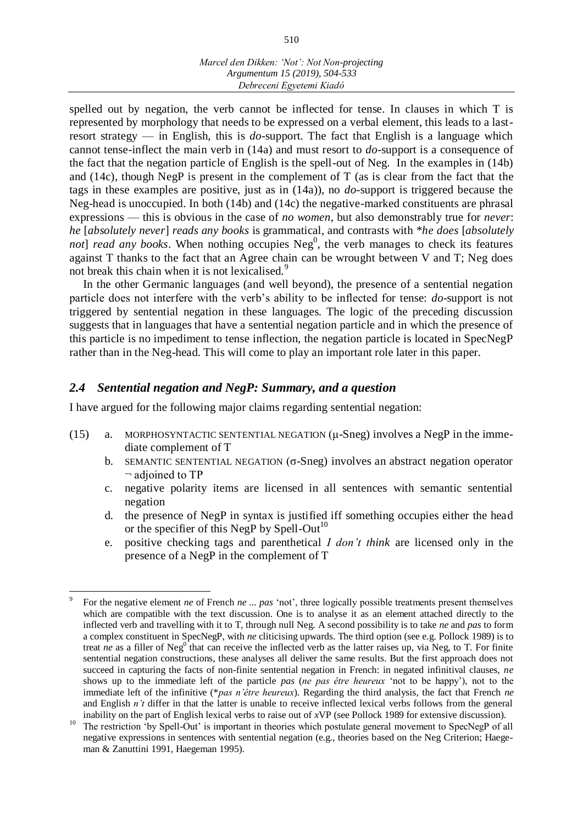spelled out by negation, the verb cannot be inflected for tense. In clauses in which T is represented by morphology that needs to be expressed on a verbal element, this leads to a lastresort strategy — in English, this is *do*-support. The fact that English is a language which cannot tense-inflect the main verb in (14a) and must resort to *do*-support is a consequence of the fact that the negation particle of English is the spell-out of Neg. In the examples in (14b) and (14c), though NegP is present in the complement of T (as is clear from the fact that the tags in these examples are positive, just as in (14a)), no *do*-support is triggered because the Neg-head is unoccupied. In both (14b) and (14c) the negative-marked constituents are phrasal expressions — this is obvious in the case of *no women*, but also demonstrably true for *never*: *he* [*absolutely never*] *reads any books* is grammatical, and contrasts with \**he does* [*absolutely*  not] *read any books*. When nothing occupies Neg<sup>0</sup>, the verb manages to check its features against T thanks to the fact that an Agree chain can be wrought between V and T; Neg does not break this chain when it is not lexicalised.<sup>9</sup>

In the other Germanic languages (and well beyond), the presence of a sentential negation particle does not interfere with the verb's ability to be inflected for tense: *do*-support is not triggered by sentential negation in these languages. The logic of the preceding discussion suggests that in languages that have a sentential negation particle and in which the presence of this particle is no impediment to tense inflection, the negation particle is located in SpecNegP rather than in the Neg-head. This will come to play an important role later in this paper.

## *2.4 Sentential negation and NegP: Summary, and a question*

I have argued for the following major claims regarding sentential negation:

- (15) a. MORPHOSYNTACTIC SENTENTIAL NEGATION  $(\mu$ -Sneg) involves a NegP in the immediate complement of T
	- b. SEMANTIC SENTENTIAL NEGATION (σ-Sneg) involves an abstract negation operator  $\neg$  adjoined to TP
	- c. negative polarity items are licensed in all sentences with semantic sentential negation
	- d. the presence of NegP in syntax is justified iff something occupies either the head or the specifier of this NegP by Spell-Out<sup>10</sup>
	- e. positive checking tags and parenthetical *I don't think* are licensed only in the presence of a NegP in the complement of T

 $\overline{a}$ 9 For the negative element *ne* of French *ne ... pas* 'not', three logically possible treatments present themselves which are compatible with the text discussion. One is to analyse it as an element attached directly to the inflected verb and travelling with it to T, through null Neg. A second possibility is to take *ne* and *pas* to form a complex constituent in SpecNegP, with *ne* cliticising upwards. The third option (see e.g. Pollock 1989) is to treat *ne* as a filler of Neg<sup>0</sup> that can receive the inflected verb as the latter raises up, via Neg, to T. For finite sentential negation constructions, these analyses all deliver the same results. But the first approach does not succeed in capturing the facts of non-finite sentential negation in French: in negated infinitival clauses, *ne* shows up to the immediate left of the particle *pas* (*ne pas être heureux* 'not to be happy'), not to the immediate left of the infinitive (\**pas n'être heureux*). Regarding the third analysis, the fact that French *ne* and English *n't* differ in that the latter is unable to receive inflected lexical verbs follows from the general inability on the part of English lexical verbs to raise out of *x*VP (see Pollock 1989 for extensive discussion).

The restriction 'by Spell-Out' is important in theories which postulate general movement to SpecNegP of all negative expressions in sentences with sentential negation (e.g., theories based on the Neg Criterion; Haegeman & Zanuttini 1991, Haegeman 1995).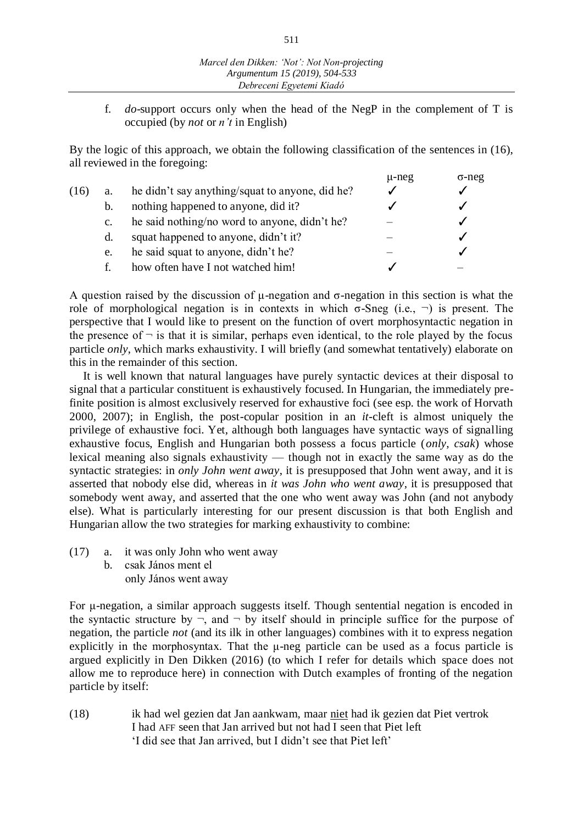f. *do*-support occurs only when the head of the NegP in the complement of T is occupied (by *not* or *n't* in English)

By the logic of this approach, we obtain the following classification of the sentences in (16), all reviewed in the foregoing:

|      |                |                                                 | $\mu$ -neg | $\sigma$ -neg |
|------|----------------|-------------------------------------------------|------------|---------------|
| (16) | a.             | he didn't say anything/squat to anyone, did he? |            |               |
|      | b.             | nothing happened to anyone, did it?             |            |               |
|      | $\mathbf{C}$ . | he said nothing/no word to anyone, didn't he?   |            |               |
|      | d.             | squat happened to anyone, didn't it?            |            |               |
|      | e.             | he said squat to anyone, didn't he?             |            |               |
|      | t.             | how often have I not watched him!               |            |               |

A question raised by the discussion of μ-negation and σ-negation in this section is what the role of morphological negation is in contexts in which σ-Sneg (i.e.,  $\neg$ ) is present. The perspective that I would like to present on the function of overt morphosyntactic negation in the presence of  $\neg$  is that it is similar, perhaps even identical, to the role played by the focus particle *only*, which marks exhaustivity. I will briefly (and somewhat tentatively) elaborate on this in the remainder of this section.

It is well known that natural languages have purely syntactic devices at their disposal to signal that a particular constituent is exhaustively focused. In Hungarian, the immediately prefinite position is almost exclusively reserved for exhaustive foci (see esp. the work of Horvath 2000, 2007); in English, the post-copular position in an *it*-cleft is almost uniquely the privilege of exhaustive foci. Yet, although both languages have syntactic ways of signalling exhaustive focus, English and Hungarian both possess a focus particle (*only*, *csak*) whose lexical meaning also signals exhaustivity — though not in exactly the same way as do the syntactic strategies: in *only John went away*, it is presupposed that John went away, and it is asserted that nobody else did, whereas in *it was John who went away*, it is presupposed that somebody went away, and asserted that the one who went away was John (and not anybody else). What is particularly interesting for our present discussion is that both English and Hungarian allow the two strategies for marking exhaustivity to combine:

- (17) a. it was only John who went away
	- b. csak János ment el only János went away

For μ-negation, a similar approach suggests itself. Though sentential negation is encoded in the syntactic structure by  $\neg$ , and  $\neg$  by itself should in principle suffice for the purpose of negation, the particle *not* (and its ilk in other languages) combines with it to express negation explicitly in the morphosyntax. That the μ-neg particle can be used as a focus particle is argued explicitly in Den Dikken (2016) (to which I refer for details which space does not allow me to reproduce here) in connection with Dutch examples of fronting of the negation particle by itself:

(18) ik had wel gezien dat Jan aankwam, maar niet had ik gezien dat Piet vertrok I had AFF seen that Jan arrived but not had I seen that Piet left 'I did see that Jan arrived, but I didn't see that Piet left'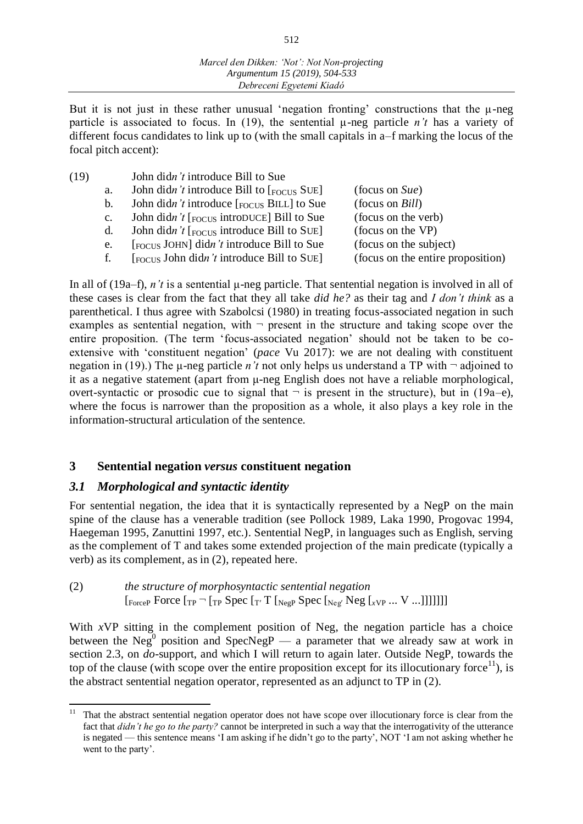But it is not just in these rather unusual 'negation fronting' constructions that the μ-neg particle is associated to focus. In (19), the sentential μ-neg particle *n't* has a variety of different focus candidates to link up to (with the small capitals in a–f marking the locus of the focal pitch accent):

| (19) |                | John didn't introduce Bill to Sue                            |                                   |
|------|----------------|--------------------------------------------------------------|-----------------------------------|
|      | a.             | John didn't introduce Bill to $\lceil$ <sub>FOCUS</sub> SUE] | (focus on $Sue$ )                 |
|      | b.             | John didn't introduce $[FOCUS BILL]$ to Sue                  | (focus on $Bill$ )                |
|      | C <sub>1</sub> | John didn't $[$ <sub>FOCUS</sub> introDUCE $]$ Bill to Sue   | (focus on the verb)               |
|      | d.             | John didn't $[$ <sub>FOCUS</sub> introduce Bill to SUE]      | (focus on the VP)                 |
|      | e.             | $[$ <sub>FOCUS</sub> JOHN $]$ didn't introduce Bill to Sue   | (focus on the subject)            |
|      | f.             | $[$ <sub>FOCUS</sub> John didn't introduce Bill to SUE]      | (focus on the entire proposition) |

In all of (19a–f), *n't* is a sentential μ-neg particle. That sentential negation is involved in all of these cases is clear from the fact that they all take *did he?* as their tag and *I don't think* as a parenthetical. I thus agree with Szabolcsi (1980) in treating focus-associated negation in such examples as sentential negation, with  $\neg$  present in the structure and taking scope over the entire proposition. (The term 'focus-associated negation' should not be taken to be coextensive with 'constituent negation' (*pace* Vu 2017): we are not dealing with constituent negation in (19).) The μ-neg particle *n't* not only helps us understand a TP with ¬ adjoined to it as a negative statement (apart from μ-neg English does not have a reliable morphological, overt-syntactic or prosodic cue to signal that  $\neg$  is present in the structure), but in (19a–e), where the focus is narrower than the proposition as a whole, it also plays a key role in the information-structural articulation of the sentence.

# **3 Sentential negation** *versus* **constituent negation**

# *3.1 Morphological and syntactic identity*

For sentential negation, the idea that it is syntactically represented by a NegP on the main spine of the clause has a venerable tradition (see Pollock 1989, Laka 1990, Progovac 1994, Haegeman 1995, Zanuttini 1997, etc.). Sentential NegP, in languages such as English, serving as the complement of T and takes some extended projection of the main predicate (typically a verb) as its complement, as in (2), repeated here.

(2) *the structure of morphosyntactic sentential negation*  $[ForceP$  Force  $[rP$   $\neg$   $[rP$  Spec  $[rT$   $[NegP]$  Spec  $[Neg'$  Neg  $[xVP... V...]]]]]]$ 

With *xVP* sitting in the complement position of Neg, the negation particle has a choice between the Neg<sup>0</sup> position and SpecNegP — a parameter that we already saw at work in section 2.3, on *do*-support, and which I will return to again later. Outside NegP, towards the top of the clause (with scope over the entire proposition except for its illocutionary force<sup>11</sup>), is the abstract sentential negation operator, represented as an adjunct to TP in (2).

 $11\,$ <sup>11</sup> That the abstract sentential negation operator does not have scope over illocutionary force is clear from the fact that *didn't he go to the party?* cannot be interpreted in such a way that the interrogativity of the utterance is negated — this sentence means 'I am asking if he didn't go to the party', NOT 'I am not asking whether he went to the party'.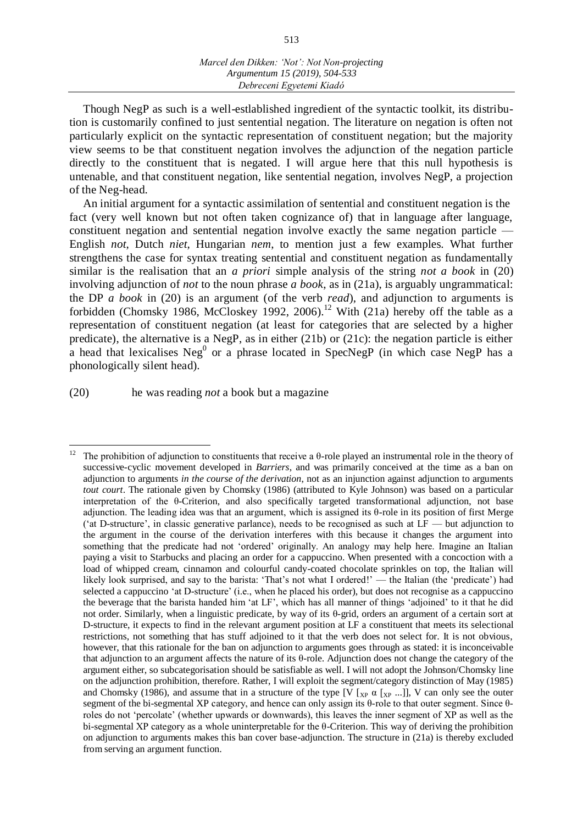Though NegP as such is a well-estlablished ingredient of the syntactic toolkit, its distribution is customarily confined to just sentential negation. The literature on negation is often not particularly explicit on the syntactic representation of constituent negation; but the majority view seems to be that constituent negation involves the adjunction of the negation particle directly to the constituent that is negated. I will argue here that this null hypothesis is untenable, and that constituent negation, like sentential negation, involves NegP, a projection of the Neg-head.

An initial argument for a syntactic assimilation of sentential and constituent negation is the fact (very well known but not often taken cognizance of) that in language after language, constituent negation and sentential negation involve exactly the same negation particle — English *not*, Dutch *niet*, Hungarian *nem*, to mention just a few examples. What further strengthens the case for syntax treating sentential and constituent negation as fundamentally similar is the realisation that an *a priori* simple analysis of the string *not a book* in (20) involving adjunction of *not* to the noun phrase *a book*, as in (21a), is arguably ungrammatical: the DP *a book* in (20) is an argument (of the verb *read*), and adjunction to arguments is forbidden (Chomsky 1986, McCloskey 1992, 2006).<sup>12</sup> With (21a) hereby off the table as a representation of constituent negation (at least for categories that are selected by a higher predicate), the alternative is a NegP, as in either (21b) or (21c): the negation particle is either a head that lexicalises  $Neg^0$  or a phrase located in SpecNegP (in which case NegP has a phonologically silent head).

(20) he was reading *not* a book but a magazine

 $\overline{a}$ 

<sup>&</sup>lt;sup>12</sup> The prohibition of adjunction to constituents that receive a θ-role played an instrumental role in the theory of successive-cyclic movement developed in *Barriers*, and was primarily conceived at the time as a ban on adjunction to arguments *in the course of the derivation*, not as an injunction against adjunction to arguments *tout court*. The rationale given by Chomsky (1986) (attributed to Kyle Johnson) was based on a particular interpretation of the θ-Criterion, and also specifically targeted transformational adjunction, not base adjunction. The leading idea was that an argument, which is assigned its θ-role in its position of first Merge ('at D-structure', in classic generative parlance), needs to be recognised as such at LF — but adjunction to the argument in the course of the derivation interferes with this because it changes the argument into something that the predicate had not 'ordered' originally. An analogy may help here. Imagine an Italian paying a visit to Starbucks and placing an order for a cappuccino. When presented with a concoction with a load of whipped cream, cinnamon and colourful candy-coated chocolate sprinkles on top, the Italian will likely look surprised, and say to the barista: 'That's not what I ordered!' — the Italian (the 'predicate') had selected a cappuccino 'at D-structure' (i.e., when he placed his order), but does not recognise as a cappuccino the beverage that the barista handed him 'at LF', which has all manner of things 'adjoined' to it that he did not order. Similarly, when a linguistic predicate, by way of its θ-grid, orders an argument of a certain sort at D-structure, it expects to find in the relevant argument position at LF a constituent that meets its selectional restrictions, not something that has stuff adjoined to it that the verb does not select for. It is not obvious, however, that this rationale for the ban on adjunction to arguments goes through as stated: it is inconceivable that adjunction to an argument affects the nature of its θ-role. Adjunction does not change the category of the argument either, so subcategorisation should be satisfiable as well. I will not adopt the Johnson/Chomsky line on the adjunction prohibition, therefore. Rather, I will exploit the segment/category distinction of May (1985) and Chomsky (1986), and assume that in a structure of the type [V  $\left[\chi_{\rm P} \alpha \right]_{\rm XP}$  ...]], V can only see the outer segment of the bi-segmental XP category, and hence can only assign its θ-role to that outer segment. Since θroles do not 'percolate' (whether upwards or downwards), this leaves the inner segment of XP as well as the bi-segmental XP category as a whole uninterpretable for the θ-Criterion. This way of deriving the prohibition on adjunction to arguments makes this ban cover base-adjunction. The structure in (21a) is thereby excluded from serving an argument function.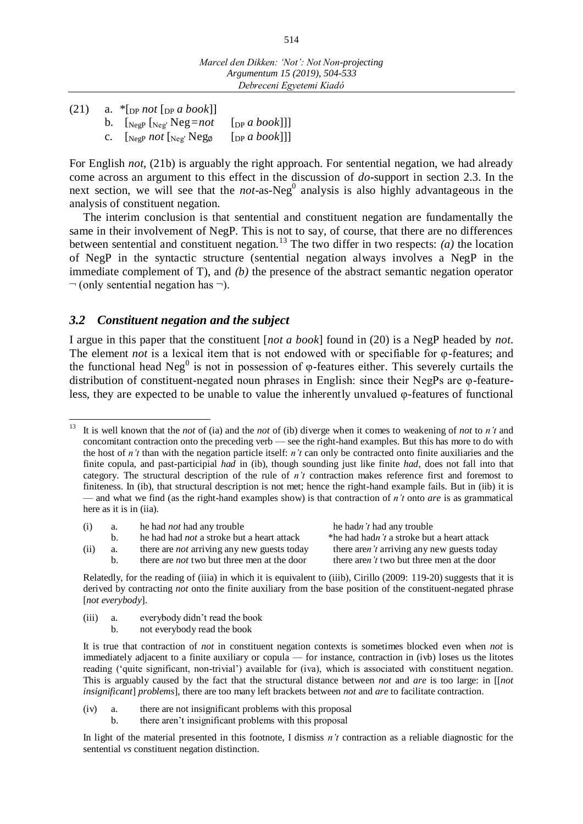$(21)$  a.  $*$ [<sub>DP</sub> *not* [<sub>DP</sub> *a book*]]

- b.  $\left[\text{NegP} \left[\text{Neg}^c\text{Neg}=not \left[\text{DP} a \text{book}\right]\right]\right]$
- c.  $[\text{NegP} not [\text{NegP} Neg \text{RegP} \quad [\text{DP} a \text{book}]]]$

For English *not*, (21b) is arguably the right approach. For sentential negation, we had already come across an argument to this effect in the discussion of *do*-support in section 2.3. In the next section, we will see that the *not*-as-Neg<sup>0</sup> analysis is also highly advantageous in the analysis of constituent negation.

The interim conclusion is that sentential and constituent negation are fundamentally the same in their involvement of NegP. This is not to say, of course, that there are no differences between sentential and constituent negation.<sup>13</sup> The two differ in two respects: *(a)* the location of NegP in the syntactic structure (sentential negation always involves a NegP in the immediate complement of T), and *(b)* the presence of the abstract semantic negation operator  $\neg$  (only sentential negation has  $\neg$ ).

## *3.2 Constituent negation and the subject*

I argue in this paper that the constituent [*not a book*] found in (20) is a NegP headed by *not*. The element *not* is a lexical item that is not endowed with or specifiable for φ-features; and the functional head Neg<sup>0</sup> is not in possession of  $\varphi$ -features either. This severely curtails the distribution of constituent-negated noun phrases in English: since their NegPs are φ-featureless, they are expected to be unable to value the inherently unvalued φ-features of functional

(i) a. he had *not* had any trouble he had*n't* had any trouble

(ii) a. there are *not* arriving any new guests today there are*n't* arriving any new guests today

b. he had had *not* a stroke but a heart attack \*he had had*n't* a stroke but a heart attack b. there are *not* two but three men at the door there are*n't* two but three men at the door

Relatedly, for the reading of (iiia) in which it is equivalent to (iiib), Cirillo (2009: 119-20) suggests that it is derived by contracting *not* onto the finite auxiliary from the base position of the constituent-negated phrase [*not everybody*].

(iii) a. everybody didn't read the book b. not everybody read the book

It is true that contraction of *not* in constituent negation contexts is sometimes blocked even when *not* is immediately adjacent to a finite auxiliary or copula — for instance, contraction in (ivb) loses us the litotes reading ('quite significant, non-trivial') available for (iva), which is associated with constituent negation. This is arguably caused by the fact that the structural distance between *not* and *are* is too large: in [[*not insignificant*] *problems*], there are too many left brackets between *not* and *are* to facilitate contraction.

- (iv) a. there are not insignificant problems with this proposal
	- b. there aren't insignificant problems with this proposal

In light of the material presented in this footnote, I dismiss *n't* contraction as a reliable diagnostic for the sentential *vs* constituent negation distinction.

 $13\,$ <sup>13</sup> It is well known that the *not* of (ia) and the *not* of (ib) diverge when it comes to weakening of *not* to *n't* and concomitant contraction onto the preceding verb — see the right-hand examples. But this has more to do with the host of *n't* than with the negation particle itself: *n't* can only be contracted onto finite auxiliaries and the finite copula, and past-participial *had* in (ib), though sounding just like finite *had*, does not fall into that category. The structural description of the rule of *n't* contraction makes reference first and foremost to finiteness. In (ib), that structural description is not met; hence the right-hand example fails. But in (iib) it is — and what we find (as the right-hand examples show) is that contraction of *n't* onto *are* is as grammatical here as it is in (iia).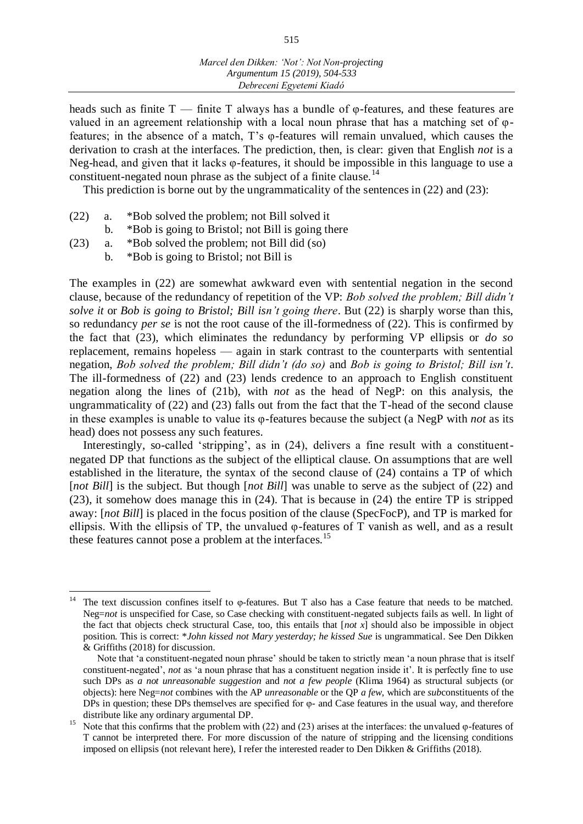heads such as finite  $T$  — finite T always has a bundle of  $\varphi$ -features, and these features are valued in an agreement relationship with a local noun phrase that has a matching set of φfeatures; in the absence of a match, T's φ-features will remain unvalued, which causes the derivation to crash at the interfaces. The prediction, then, is clear: given that English *not* is a Neg-head, and given that it lacks φ-features, it should be impossible in this language to use a constituent-negated noun phrase as the subject of a finite clause.<sup>14</sup>

This prediction is borne out by the ungrammaticality of the sentences in (22) and (23):

- (22) a. \*Bob solved the problem; not Bill solved it
	- b. \*Bob is going to Bristol; not Bill is going there
- (23) a. \*Bob solved the problem; not Bill did (so)
	- b. \*Bob is going to Bristol; not Bill is

The examples in (22) are somewhat awkward even with sentential negation in the second clause, because of the redundancy of repetition of the VP: *Bob solved the problem; Bill didn't solve it* or *Bob is going to Bristol; Bill isn't going there*. But (22) is sharply worse than this, so redundancy *per se* is not the root cause of the ill-formedness of (22). This is confirmed by the fact that (23), which eliminates the redundancy by performing VP ellipsis or *do so* replacement, remains hopeless — again in stark contrast to the counterparts with sentential negation, *Bob solved the problem; Bill didn't (do so)* and *Bob is going to Bristol; Bill isn't*. The ill-formedness of (22) and (23) lends credence to an approach to English constituent negation along the lines of (21b), with *not* as the head of NegP: on this analysis, the ungrammaticality of (22) and (23) falls out from the fact that the T-head of the second clause in these examples is unable to value its φ-features because the subject (a NegP with *not* as its head) does not possess any such features.

Interestingly, so-called 'stripping', as in (24), delivers a fine result with a constituentnegated DP that functions as the subject of the elliptical clause. On assumptions that are well established in the literature, the syntax of the second clause of (24) contains a TP of which [*not Bill*] is the subject. But though [*not Bill*] was unable to serve as the subject of (22) and (23), it somehow does manage this in (24). That is because in (24) the entire TP is stripped away: [*not Bill*] is placed in the focus position of the clause (SpecFocP), and TP is marked for ellipsis. With the ellipsis of TP, the unvalued φ-features of T vanish as well, and as a result these features cannot pose a problem at the interfaces.<sup>15</sup>

 $14$ The text discussion confines itself to  $\varphi$ -features. But T also has a Case feature that needs to be matched. Neg=*not* is unspecified for Case, so Case checking with constituent-negated subjects fails as well. In light of the fact that objects check structural Case, too, this entails that [*not x*] should also be impossible in object position. This is correct: \**John kissed not Mary yesterday; he kissed Sue* is ungrammatical. See Den Dikken & Griffiths (2018) for discussion.

Note that 'a constituent-negated noun phrase' should be taken to strictly mean 'a noun phrase that is itself constituent-negated', *not* as 'a noun phrase that has a constituent negation inside it'. It is perfectly fine to use such DPs as *a not unreasonable suggestion* and *not a few people* (Klima 1964) as structural subjects (or objects): here Neg=*not* combines with the AP *unreasonable* or the QP *a few*, which are *sub*constituents of the DPs in question; these DPs themselves are specified for φ- and Case features in the usual way, and therefore distribute like any ordinary argumental DP.

<sup>&</sup>lt;sup>15</sup> Note that this confirms that the problem with (22) and (23) arises at the interfaces: the unvalued  $\varphi$ -features of T cannot be interpreted there. For more discussion of the nature of stripping and the licensing conditions imposed on ellipsis (not relevant here), I refer the interested reader to Den Dikken & Griffiths (2018).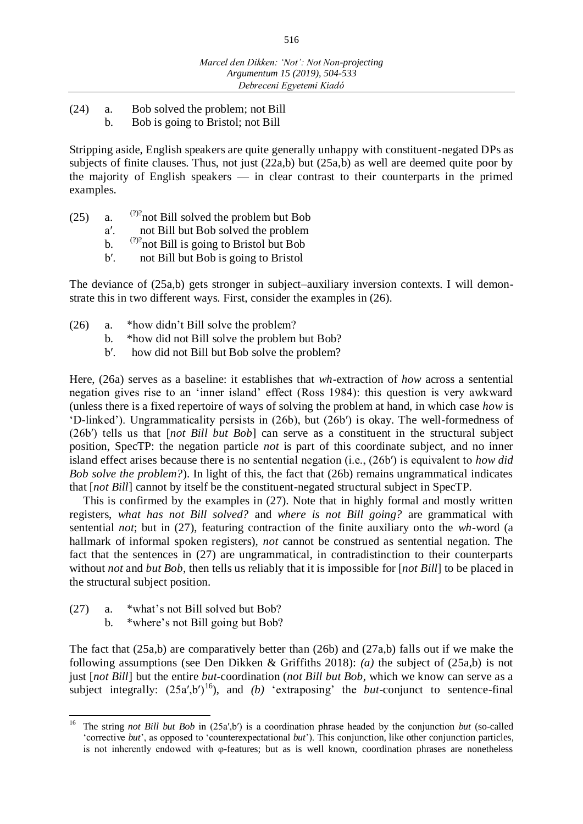516

- (24) a. Bob solved the problem; not Bill
	- b. Bob is going to Bristol; not Bill

Stripping aside, English speakers are quite generally unhappy with constituent-negated DPs as subjects of finite clauses. Thus, not just (22a,b) but (25a,b) as well are deemed quite poor by the majority of English speakers — in clear contrast to their counterparts in the primed examples.

- (25) a.  $(25)$  a.  $(27)^{2}$  not Bill solved the problem a'. not Bill but Bob solved the problem
	- not Bill but Bob solved the problem
	- b.  $(2)^{2}$ not Bill is going to Bristol but Bob
	- b'. not Bill but Bob is going to Bristol

The deviance of (25a,b) gets stronger in subject–auxiliary inversion contexts. I will demonstrate this in two different ways. First, consider the examples in (26).

- (26) a. \*how didn't Bill solve the problem?
	- b. \*how did not Bill solve the problem but Bob?
	- b'. how did not Bill but Bob solve the problem?

Here, (26a) serves as a baseline: it establishes that *wh*-extraction of *how* across a sentential negation gives rise to an 'inner island' effect (Ross 1984): this question is very awkward (unless there is a fixed repertoire of ways of solving the problem at hand, in which case *how* is 'D-linked'). Ungrammaticality persists in (26b), but (26bʹ) is okay. The well-formedness of (26bʹ) tells us that [*not Bill but Bob*] can serve as a constituent in the structural subject position, SpecTP: the negation particle *not* is part of this coordinate subject, and no inner island effect arises because there is no sentential negation (i.e., (26bʹ) is equivalent to *how did Bob solve the problem?*). In light of this, the fact that (26b) remains ungrammatical indicates that [*not Bill*] cannot by itself be the constituent-negated structural subject in SpecTP.

This is confirmed by the examples in (27). Note that in highly formal and mostly written registers, *what has not Bill solved?* and *where is not Bill going?* are grammatical with sentential *not*; but in (27), featuring contraction of the finite auxiliary onto the *wh*-word (a hallmark of informal spoken registers), *not* cannot be construed as sentential negation. The fact that the sentences in (27) are ungrammatical, in contradistinction to their counterparts without *not* and *but Bob*, then tells us reliably that it is impossible for [*not Bill*] to be placed in the structural subject position.

- (27) a. \*what's not Bill solved but Bob?
	- b. \*where's not Bill going but Bob?

The fact that (25a,b) are comparatively better than (26b) and (27a,b) falls out if we make the following assumptions (see Den Dikken & Griffiths 2018): *(a)* the subject of (25a,b) is not just [*not Bill*] but the entire *but*-coordination (*not Bill but Bob*, which we know can serve as a subject integrally:  $(25a'b')^{16}$ , and *(b)* 'extraposing' the *but*-conjunct to sentence-final

 $16\,$ <sup>16</sup> The string *not Bill but Bob* in (25aʹ,bʹ) is a coordination phrase headed by the conjunction *but* (so-called 'corrective *but*', as opposed to 'counterexpectational *but*'). This conjunction, like other conjunction particles, is not inherently endowed with φ-features; but as is well known, coordination phrases are nonetheless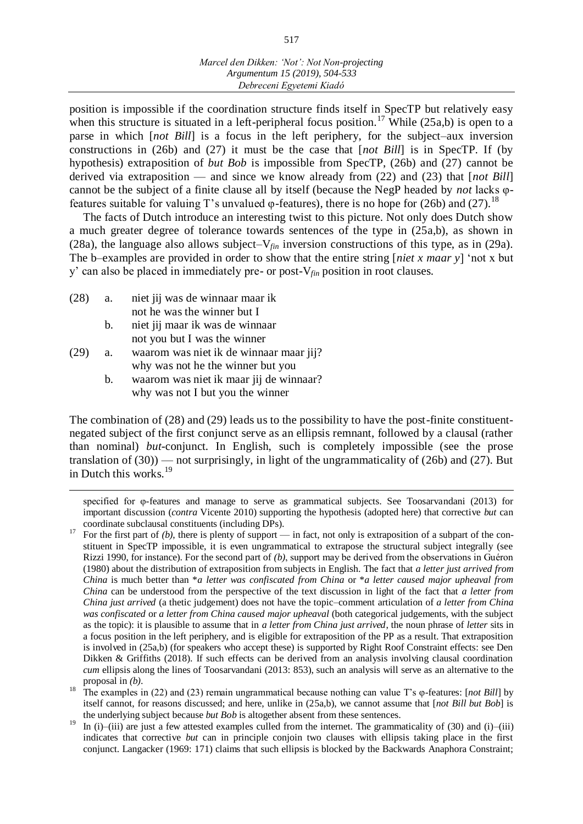position is impossible if the coordination structure finds itself in SpecTP but relatively easy when this structure is situated in a left-peripheral focus position.<sup>17</sup> While (25a,b) is open to a parse in which [*not Bill*] is a focus in the left periphery, for the subject–aux inversion constructions in (26b) and (27) it must be the case that [*not Bill*] is in SpecTP. If (by hypothesis) extraposition of *but Bob* is impossible from SpecTP, (26b) and (27) cannot be derived via extraposition — and since we know already from (22) and (23) that [*not Bill*] cannot be the subject of a finite clause all by itself (because the NegP headed by *not* lacks φfeatures suitable for valuing T's unvalued  $\varphi$ -features), there is no hope for (26b) and (27).<sup>18</sup>

The facts of Dutch introduce an interesting twist to this picture. Not only does Dutch show a much greater degree of tolerance towards sentences of the type in (25a,b), as shown in (28a), the language also allows subject–V*fin* inversion constructions of this type, as in (29a). The b–examples are provided in order to show that the entire string [*niet x maar y*] 'not x but y' can also be placed in immediately pre- or post-V*fin* position in root clauses.

(28) a. niet jij was de winnaar maar ik not he was the winner but I

 $\overline{a}$ 

- b. niet jij maar ik was de winnaar not you but I was the winner
- (29) a. waarom was niet ik de winnaar maar jij? why was not he the winner but you
	- b. waarom was niet ik maar jij de winnaar? why was not I but you the winner

The combination of (28) and (29) leads us to the possibility to have the post-finite constituentnegated subject of the first conjunct serve as an ellipsis remnant, followed by a clausal (rather than nominal) *but*-conjunct. In English, such is completely impossible (see the prose translation of (30)) — not surprisingly, in light of the ungrammaticality of (26b) and (27). But in Dutch this works.<sup>19</sup>

specified for φ-features and manage to serve as grammatical subjects. See Toosarvandani (2013) for important discussion (*contra* Vicente 2010) supporting the hypothesis (adopted here) that corrective *but* can coordinate subclausal constituents (including DPs).

<sup>17</sup> For the first part of *(b)*, there is plenty of support — in fact, not only is extraposition of a subpart of the constituent in SpecTP impossible, it is even ungrammatical to extrapose the structural subject integrally (see Rizzi 1990, for instance). For the second part of *(b)*, support may be derived from the observations in Guéron (1980) about the distribution of extraposition from subjects in English. The fact that *a letter just arrived from China* is much better than \**a letter was confiscated from China* or \**a letter caused major upheaval from China* can be understood from the perspective of the text discussion in light of the fact that *a letter from China just arrived* (a thetic judgement) does not have the topic–comment articulation of *a letter from China was confiscated* or *a letter from China caused major upheaval* (both categorical judgements, with the subject as the topic): it is plausible to assume that in *a letter from China just arrived*, the noun phrase of *letter* sits in a focus position in the left periphery, and is eligible for extraposition of the PP as a result. That extraposition is involved in (25a,b) (for speakers who accept these) is supported by Right Roof Constraint effects: see Den Dikken & Griffiths (2018). If such effects can be derived from an analysis involving clausal coordination *cum* ellipsis along the lines of Toosarvandani (2013: 853), such an analysis will serve as an alternative to the proposal in *(b)*.

<sup>18</sup> The examples in (22) and (23) remain ungrammatical because nothing can value T's φ-features: [*not Bill*] by itself cannot, for reasons discussed; and here, unlike in (25a,b), we cannot assume that [*not Bill but Bob*] is the underlying subject because *but Bob* is altogether absent from these sentences.

<sup>&</sup>lt;sup>19</sup> In (i)–(iii) are just a few attested examples culled from the internet. The grammaticality of (30) and (i)–(iii) indicates that corrective *but* can in principle conjoin two clauses with ellipsis taking place in the first conjunct. Langacker (1969: 171) claims that such ellipsis is blocked by the Backwards Anaphora Constraint;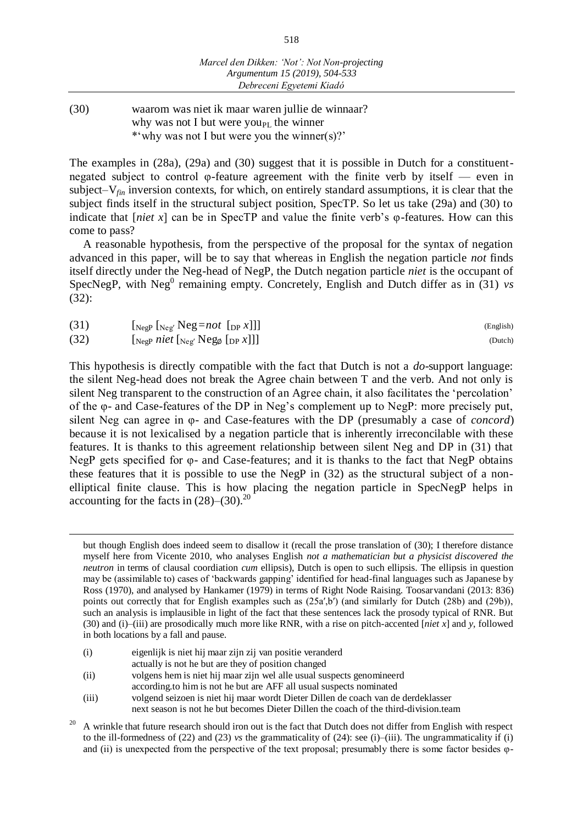(30) waarom was niet ik maar waren jullie de winnaar? why was not I but were you<sub>PL</sub> the winner \*'why was not I but were you the winner(s)?'

The examples in (28a), (29a) and (30) suggest that it is possible in Dutch for a constituentnegated subject to control φ-feature agreement with the finite verb by itself — even in subject–V*fin* inversion contexts, for which, on entirely standard assumptions, it is clear that the subject finds itself in the structural subject position, SpecTP. So let us take (29a) and (30) to indicate that [*niet x*] can be in SpecTP and value the finite verb's φ-features. How can this come to pass?

A reasonable hypothesis, from the perspective of the proposal for the syntax of negation advanced in this paper, will be to say that whereas in English the negation particle *not* finds itself directly under the Neg-head of NegP, the Dutch negation particle *niet* is the occupant of SpecNegP, with Neg<sup>0</sup> remaining empty. Concretely, English and Dutch differ as in (31) *vs* (32):

| (31) | $[\text{NegP}[\text{Neg}']$ $\text{Neg}=not[\text{DP}x]]$     | (English) |
|------|---------------------------------------------------------------|-----------|
| (32) | $[\text{NegP}\text{niet}[\text{NegNeg}[\text{DP} \text{X}]]]$ | (Dutch)   |

This hypothesis is directly compatible with the fact that Dutch is not a *do*-support language: the silent Neg-head does not break the Agree chain between T and the verb. And not only is silent Neg transparent to the construction of an Agree chain, it also facilitates the 'percolation' of the φ- and Case-features of the DP in Neg's complement up to NegP: more precisely put, silent Neg can agree in φ- and Case-features with the DP (presumably a case of *concord*) because it is not lexicalised by a negation particle that is inherently irreconcilable with these features. It is thanks to this agreement relationship between silent Neg and DP in (31) that NegP gets specified for φ- and Case-features; and it is thanks to the fact that NegP obtains these features that it is possible to use the NegP in (32) as the structural subject of a nonelliptical finite clause. This is how placing the negation particle in SpecNegP helps in accounting for the facts in  $(28)$ – $(30)$ .<sup>20</sup>

(i) eigenlijk is niet hij maar zijn zij van positie veranderd actually is not he but are they of position changed

 $\overline{a}$ 

- (ii) volgens hem is niet hij maar zijn wel alle usual suspects genomineerd
- according.to him is not he but are AFF all usual suspects nominated
- (iii) volgend seizoen is niet hij maar wordt Dieter Dillen de coach van de derdeklasser next season is not he but becomes Dieter Dillen the coach of the third-division.team
- <sup>20</sup> A wrinkle that future research should iron out is the fact that Dutch does not differ from English with respect to the ill-formedness of (22) and (23) *vs* the grammaticality of (24): see (i)–(iii). The ungrammaticality if (i) and (ii) is unexpected from the perspective of the text proposal; presumably there is some factor besides φ-

but though English does indeed seem to disallow it (recall the prose translation of (30); I therefore distance myself here from Vicente 2010, who analyses English *not a mathematician but a physicist discovered the neutron* in terms of clausal coordiation *cum* ellipsis), Dutch is open to such ellipsis. The ellipsis in question may be (assimilable to) cases of 'backwards gapping' identified for head-final languages such as Japanese by Ross (1970), and analysed by Hankamer (1979) in terms of Right Node Raising. Toosarvandani (2013: 836) points out correctly that for English examples such as  $(25a′, b′)$  (and similarly for Dutch (28b) and (29b)), such an analysis is implausible in light of the fact that these sentences lack the prosody typical of RNR. But (30) and (i)–(iii) are prosodically much more like RNR, with a rise on pitch-accented [*niet x*] and *y*, followed in both locations by a fall and pause.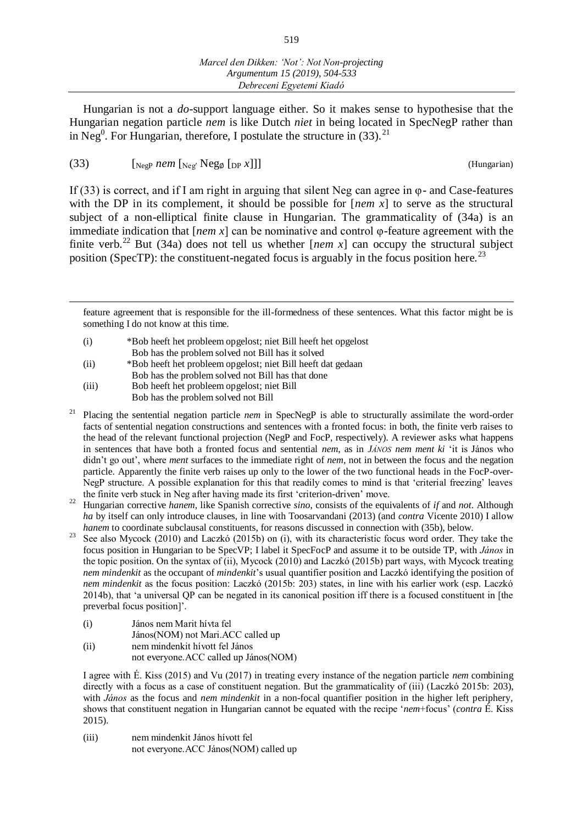*Marcel den Dikken: 'Not': Not Non-projecting Argumentum 15 (2019), 504-533 Debreceni Egyetemi Kiadó*

Hungarian is not a *do*-support language either. So it makes sense to hypothesise that the Hungarian negation particle *nem* is like Dutch *niet* in being located in SpecNegP rather than in Neg<sup>0</sup>. For Hungarian, therefore, I postulate the structure in  $(33)$ .<sup>21</sup>

## (33)  $[\text{Neg } nem \left[\text{Neg } Neg \left[\text{DP } x\right]\right]]$  (Hungarian)

-

If (33) is correct, and if I am right in arguing that silent Neg can agree in  $\varphi$ - and Case-features with the DP in its complement, it should be possible for [*nem x*] to serve as the structural subject of a non-elliptical finite clause in Hungarian. The grammaticality of (34a) is an immediate indication that [*nem x*] can be nominative and control φ-feature agreement with the finite verb.<sup>22</sup> But (34a) does not tell us whether  $[*nem x*]$  can occupy the structural subject position (SpecTP): the constituent-negated focus is arguably in the focus position here.<sup>23</sup>

feature agreement that is responsible for the ill-formedness of these sentences. What this factor might be is something I do not know at this time.

(i) \*Bob heeft het probleem opgelost; niet Bill heeft het opgelost Bob has the problem solved not Bill has it solved

- (ii) \*Bob heeft het probleem opgelost; niet Bill heeft dat gedaan Bob has the problem solved not Bill has that done
- (iii) Bob heeft het probleem opgelost; niet Bill Bob has the problem solved not Bill

<sup>21</sup> Placing the sentential negation particle *nem* in SpecNegP is able to structurally assimilate the word-order facts of sentential negation constructions and sentences with a fronted focus: in both, the finite verb raises to the head of the relevant functional projection (NegP and FocP, respectively). A reviewer asks what happens in sentences that have both a fronted focus and sentential *nem*, as in *JÁNOS nem ment ki* 'it is János who didn't go out', where *ment* surfaces to the immediate right of *nem*, not in between the focus and the negation particle. Apparently the finite verb raises up only to the lower of the two functional heads in the FocP-over-NegP structure. A possible explanation for this that readily comes to mind is that 'criterial freezing' leaves the finite verb stuck in Neg after having made its first 'criterion-driven' move.

<sup>22</sup> Hungarian corrective *hanem*, like Spanish corrective *sino*, consists of the equivalents of *if* and *not*. Although *ha* by itself can only introduce clauses, in line with Toosarvandani (2013) (and *contra* Vicente 2010) I allow *hanem* to coordinate subclausal constituents, for reasons discussed in connection with (35b), below.

- See also Mycock (2010) and Laczkó (2015b) on (i), with its characteristic focus word order. They take the focus position in Hungarian to be SpecVP; I label it SpecFocP and assume it to be outside TP, with *János* in the topic position. On the syntax of (ii), Mycock (2010) and Laczkó (2015b) part ways, with Mycock treating *nem mindenkit* as the occupant of *mindenkit*'s usual quantifier position and Laczkó identifying the position of *nem mindenkit* as the focus position: Laczkó (2015b: 203) states, in line with his earlier work (esp. Laczkó 2014b), that 'a universal QP can be negated in its canonical position iff there is a focused constituent in [the preverbal focus position]'.
	- (i) János nem Marit hívta fel
	- János(NOM) not Mari.ACC called up (ii) nem mindenkit hívott fel János not everyone.ACC called up János(NOM)

I agree with É. Kiss (2015) and Vu (2017) in treating every instance of the negation particle *nem* combining directly with a focus as a case of constituent negation. But the grammaticality of (iii) (Laczkó 2015b: 203), with *János* as the focus and *nem mindenkit* in a non-focal quantifier position in the higher left periphery, shows that constituent negation in Hungarian cannot be equated with the recipe '*nem*+focus' (*contra* É. Kiss 2015).

(iii) nem mindenkit János hívott fel not everyone.ACC János(NOM) called up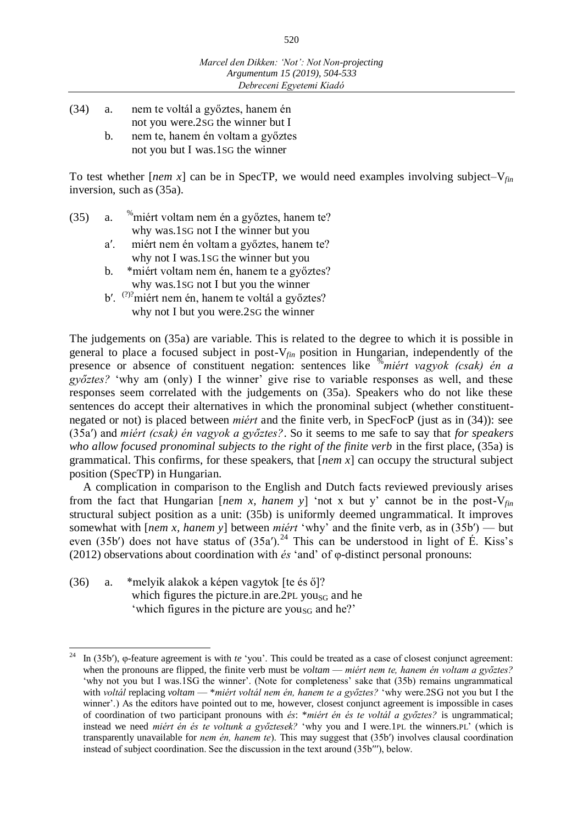- (34) a. nem te voltál a győztes, hanem én not you were.2SG the winner but I
	- b. nem te, hanem én voltam a győztes not you but I was.1SG the winner

To test whether [*nem x*] can be in SpecTP, we would need examples involving subject–V*fin* inversion, such as (35a).

- (35) a. %miért voltam nem én a győztes, hanem te? why was.1SG not I the winner but you
	- aʹ. miért nem én voltam a győztes, hanem te? why not I was.1SG the winner but you
	- b. \*miért voltam nem én, hanem te a győztes? why was.1SG not I but you the winner
	- b'. <sup>(?)?</sup>miért nem én, hanem te voltál a győztes? why not I but you were.2SG the winner

The judgements on (35a) are variable. This is related to the degree to which it is possible in general to place a focused subject in post-V*fin* position in Hungarian, independently of the presence or absence of constituent negation: sentences like %*miért vagyok (csak) én a győztes?* 'why am (only) I the winner' give rise to variable responses as well, and these responses seem correlated with the judgements on (35a). Speakers who do not like these sentences do accept their alternatives in which the pronominal subject (whether constituentnegated or not) is placed between *miért* and the finite verb, in SpecFocP (just as in (34)): see (35aʹ) and *miért (csak) én vagyok a győztes?*. So it seems to me safe to say that *for speakers who allow focused pronominal subjects to the right of the finite verb* in the first place, (35a) is grammatical. This confirms, for these speakers, that [*nem x*] can occupy the structural subject position (SpecTP) in Hungarian.

A complication in comparison to the English and Dutch facts reviewed previously arises from the fact that Hungarian [*nem x, hanem y*] 'not x but y' cannot be in the post-V*fin* structural subject position as a unit: (35b) is uniformly deemed ungrammatical. It improves somewhat with [*nem x, hanem y*] between *miért* 'why' and the finite verb, as in (35bʹ) — but even (35b') does not have status of (35a').<sup>24</sup> This can be understood in light of É. Kiss's (2012) observations about coordination with *és* 'and' of φ-distinct personal pronouns:

(36) a. \*melyik alakok a képen vagytok [te és ő]? which figures the picture.in are.  $2PL$  you<sub>SG</sub> and he 'which figures in the picture are you<sub>SG</sub> and he?'

 $\overline{a}$ 

<sup>24</sup> In (35bʹ), φ-feature agreement is with *te* 'you'. This could be treated as a case of closest conjunct agreement: when the pronouns are flipped, the finite verb must be *voltam* — *miért nem te, hanem én voltam a győztes?* 'why not you but I was.1SG the winner'. (Note for completeness' sake that (35b) remains ungrammatical with *voltál* replacing *voltam* — \**miért voltál nem én, hanem te a győztes?* 'why were.2SG not you but I the winner'.) As the editors have pointed out to me, however, closest conjunct agreement is impossible in cases of coordination of two participant pronouns with *és*: \**miért én és te voltál a győztes?* is ungrammatical; instead we need *miért én és te voltunk a győztesek?* 'why you and I were.1PL the winners.PL' (which is transparently unavailable for *nem én, hanem te*). This may suggest that (35bʹ) involves clausal coordination instead of subject coordination. See the discussion in the text around (35bʹʹʹ), below.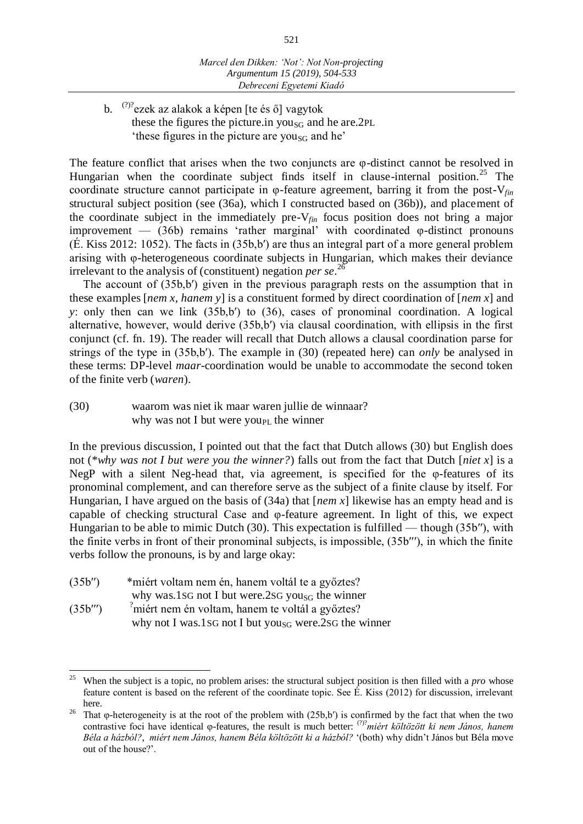b.  $(2)^{2}$ ezek az alakok a képen [te és ő] vagytok these the figures the picture.in you<sub>SG</sub> and he are.2PL 'these figures in the picture are you<sub>SG</sub> and he'

The feature conflict that arises when the two conjuncts are φ-distinct cannot be resolved in Hungarian when the coordinate subject finds itself in clause-internal position.<sup>25</sup> The coordinate structure cannot participate in φ-feature agreement, barring it from the post-V*fin* structural subject position (see (36a), which I constructed based on (36b)), and placement of the coordinate subject in the immediately pre-V*fin* focus position does not bring a major improvement  $-$  (36b) remains 'rather marginal' with coordinated  $\varphi$ -distinct pronouns (É. Kiss 2012: 1052). The facts in (35b,bʹ) are thus an integral part of a more general problem arising with φ-heterogeneous coordinate subjects in Hungarian, which makes their deviance irrelevant to the analysis of (constituent) negation *per se*. 26

The account of (35b,b<sup>'</sup>) given in the previous paragraph rests on the assumption that in these examples [*nem x, hanem y*] is a constituent formed by direct coordination of [*nem x*] and *y*: only then can we link (35b,b<sup>'</sup>) to (36), cases of pronominal coordination. A logical alternative, however, would derive (35b,bʹ) via clausal coordination, with ellipsis in the first conjunct (cf. fn. 19). The reader will recall that Dutch allows a clausal coordination parse for strings of the type in (35b,bʹ). The example in (30) (repeated here) can *only* be analysed in these terms: DP-level *maar*-coordination would be unable to accommodate the second token of the finite verb (*waren*).

(30) waarom was niet ik maar waren jullie de winnaar? why was not I but were you<sub>PL</sub> the winner

In the previous discussion, I pointed out that the fact that Dutch allows (30) but English does not (\**why was not I but were you the winner?*) falls out from the fact that Dutch [*niet x*] is a NegP with a silent Neg-head that, via agreement, is specified for the φ-features of its pronominal complement, and can therefore serve as the subject of a finite clause by itself. For Hungarian, I have argued on the basis of (34a) that [*nem x*] likewise has an empty head and is capable of checking structural Case and φ-feature agreement. In light of this, we expect Hungarian to be able to mimic Dutch (30). This expectation is fulfilled — though (35bʹʹ), with the finite verbs in front of their pronominal subjects, is impossible, (35bʹʹʹ), in which the finite verbs follow the pronouns, is by and large okay:

(35bʹʹ) \*miért voltam nem én, hanem voltál te a győztes? why was.1sG not I but were.2sG you<sub>SG</sub> the winner  $(35b'')$  <sup>?</sup>miért nem én voltam, hanem te voltál a győztes?

why not I was.1sG not I but you<sub>SG</sub> were.2sG the winner

 $\overline{a}$ <sup>25</sup> When the subject is a topic, no problem arises: the structural subject position is then filled with a *pro* whose feature content is based on the referent of the coordinate topic. See É. Kiss (2012) for discussion, irrelevant here.

<sup>&</sup>lt;sup>26</sup> That φ-heterogeneity is at the root of the problem with (25b,b<sup>'</sup>) is confirmed by the fact that when the two contrastive foci have identical φ-features, the result is much better: (?)?*miért költözött ki nem János, hanem Béla a házból?*, *miért nem János, hanem Béla költözött ki a házból?* '(both) why didn't János but Béla move out of the house?'.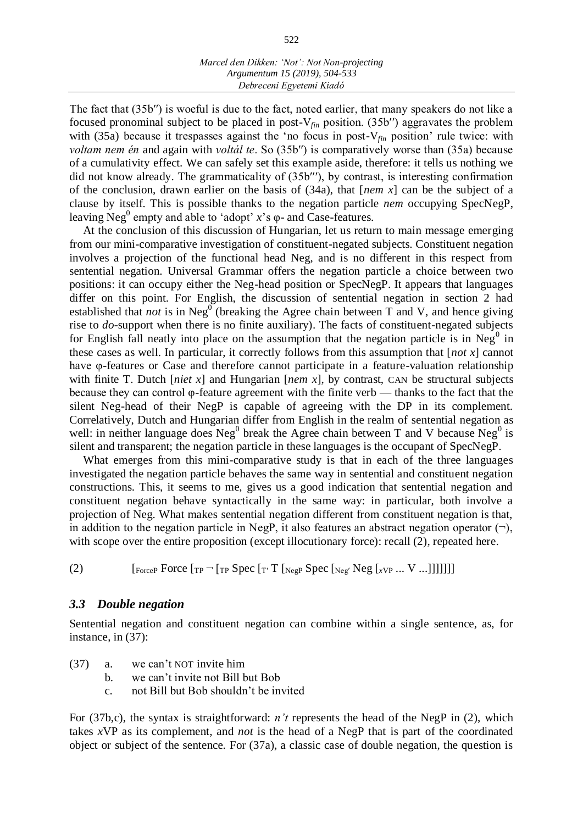The fact that (35bʹʹ) is woeful is due to the fact, noted earlier, that many speakers do not like a focused pronominal subject to be placed in post-V*fin* position. (35bʹʹ) aggravates the problem with (35a) because it trespasses against the 'no focus in post-V*fin* position' rule twice: with *voltam nem én* and again with *voltál te*. So (35bʹʹ) is comparatively worse than (35a) because of a cumulativity effect. We can safely set this example aside, therefore: it tells us nothing we did not know already. The grammaticality of  $(35b'')$ , by contrast, is interesting confirmation of the conclusion, drawn earlier on the basis of (34a), that [*nem x*] can be the subject of a clause by itself. This is possible thanks to the negation particle *nem* occupying SpecNegP, leaving Neg<sup>0</sup> empty and able to 'adopt' *x*'s φ- and Case-features.

At the conclusion of this discussion of Hungarian, let us return to main message emerging from our mini-comparative investigation of constituent-negated subjects. Constituent negation involves a projection of the functional head Neg, and is no different in this respect from sentential negation. Universal Grammar offers the negation particle a choice between two positions: it can occupy either the Neg-head position or SpecNegP. It appears that languages differ on this point. For English, the discussion of sentential negation in section 2 had established that *not* is in Neg<sup>0</sup> (breaking the Agree chain between T and V, and hence giving rise to *do*-support when there is no finite auxiliary). The facts of constituent-negated subjects for English fall neatly into place on the assumption that the negation particle is in Neg<sup>0</sup> in these cases as well. In particular, it correctly follows from this assumption that [*not x*] cannot have φ-features or Case and therefore cannot participate in a feature-valuation relationship with finite T. Dutch [*niet x*] and Hungarian [*nem x*], by contrast, CAN be structural subjects because they can control φ-feature agreement with the finite verb — thanks to the fact that the silent Neg-head of their NegP is capable of agreeing with the DP in its complement. Correlatively, Dutch and Hungarian differ from English in the realm of sentential negation as well: in neither language does Neg<sup>0</sup> break the Agree chain between T and V because Neg<sup>0</sup> is silent and transparent; the negation particle in these languages is the occupant of SpecNegP.

What emerges from this mini-comparative study is that in each of the three languages investigated the negation particle behaves the same way in sentential and constituent negation constructions. This, it seems to me, gives us a good indication that sentential negation and constituent negation behave syntactically in the same way: in particular, both involve a projection of Neg. What makes sentential negation different from constituent negation is that, in addition to the negation particle in NegP, it also features an abstract negation operator  $(\neg)$ , with scope over the entire proposition (except illocutionary force): recall (2), repeated here.

(2)  $\left[\text{Force} \left[ \text{TP} \right] \left[ \text{TP} \text{Spec} \left[ \text{TP} \right] \left[ \text{NegP} \text{Spec} \left[ \text{Neg} \left[ \text{Neg} \right] \text{Neg} \left[ \text{xyP} \dots \text{V} \dots \right] \right] \right] \right] \right]$ 

#### *3.3 Double negation*

Sentential negation and constituent negation can combine within a single sentence, as, for instance, in (37):

- (37) a. we can't NOT invite him
	- b. we can't invite not Bill but Bob
	- c. not Bill but Bob shouldn't be invited

For (37b,c), the syntax is straightforward: *n't* represents the head of the NegP in (2), which takes *x*VP as its complement, and *not* is the head of a NegP that is part of the coordinated object or subject of the sentence. For (37a), a classic case of double negation, the question is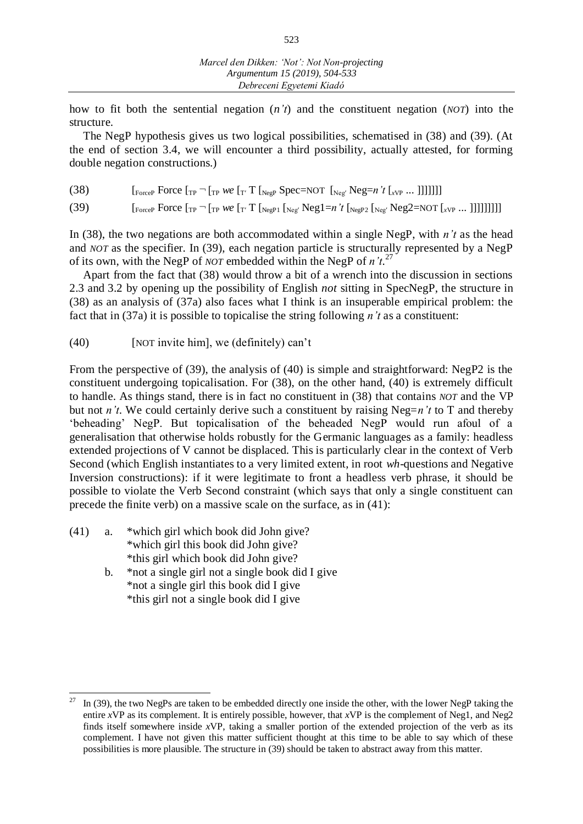how to fit both the sentential negation (*n't*) and the constituent negation (*NOT*) into the structure.

The NegP hypothesis gives us two logical possibilities, schematised in (38) and (39). (At the end of section 3.4, we will encounter a third possibility, actually attested, for forming double negation constructions.)

- (38) [ForceP Force [TP ¬ [TP *we* [Tʹ T [NegP Spec=NOT [Negʹ Neg=*n't* [*x*VP ... ]]]]]]]
- (39)  $\left[ \text{Force} \right] \text{Force} \left[ \text{TP} \right] \left[ \text{TP} \left[ \text{TP} \left[ \text{TP} \right] \right] \left[ \text{Neg} \right] \text{Neg} \right] \text{Neg} \left[ \text{Neg} \left[ \text{Neg} \right] \left[ \text{Neg} \right] \text{Neg} \right] \text{Neg} \left[ \text{Neg} \left[ \text{Neg} \right] \right] \text{[[} \left[ \text{Neg} \right] \text{[[} \left[ \text{Neg} \right] \text{[[} \left[ \text{Neg} \right] \text{[[} \left[ \text{Neg} \right] \text{[[}$

In (38), the two negations are both accommodated within a single NegP, with *n't* as the head and *NOT* as the specifier. In (39), each negation particle is structurally represented by a NegP of its own, with the NegP of *NOT* embedded within the NegP of *n't*. 27

Apart from the fact that (38) would throw a bit of a wrench into the discussion in sections 2.3 and 3.2 by opening up the possibility of English *not* sitting in SpecNegP, the structure in (38) as an analysis of (37a) also faces what I think is an insuperable empirical problem: the fact that in (37a) it is possible to topicalise the string following *n't* as a constituent:

#### (40) [NOT invite him], we (definitely) can't

From the perspective of (39), the analysis of (40) is simple and straightforward: NegP2 is the constituent undergoing topicalisation. For (38), on the other hand, (40) is extremely difficult to handle. As things stand, there is in fact no constituent in (38) that contains *NOT* and the VP but not *n't*. We could certainly derive such a constituent by raising Neg=*n't* to T and thereby 'beheading' NegP. But topicalisation of the beheaded NegP would run afoul of a generalisation that otherwise holds robustly for the Germanic languages as a family: headless extended projections of V cannot be displaced. This is particularly clear in the context of Verb Second (which English instantiates to a very limited extent, in root *wh*-questions and Negative Inversion constructions): if it were legitimate to front a headless verb phrase, it should be possible to violate the Verb Second constraint (which says that only a single constituent can precede the finite verb) on a massive scale on the surface, as in (41):

- (41) a. \*which girl which book did John give? \*which girl this book did John give? \*this girl which book did John give?
	- b. \*not a single girl not a single book did I give \*not a single girl this book did I give \*this girl not a single book did I give

<sup>27</sup> In (39), the two NegPs are taken to be embedded directly one inside the other, with the lower NegP taking the entire *x*VP as its complement. It is entirely possible, however, that *x*VP is the complement of Neg1, and Neg2 finds itself somewhere inside *x*VP, taking a smaller portion of the extended projection of the verb as its complement. I have not given this matter sufficient thought at this time to be able to say which of these possibilities is more plausible. The structure in (39) should be taken to abstract away from this matter.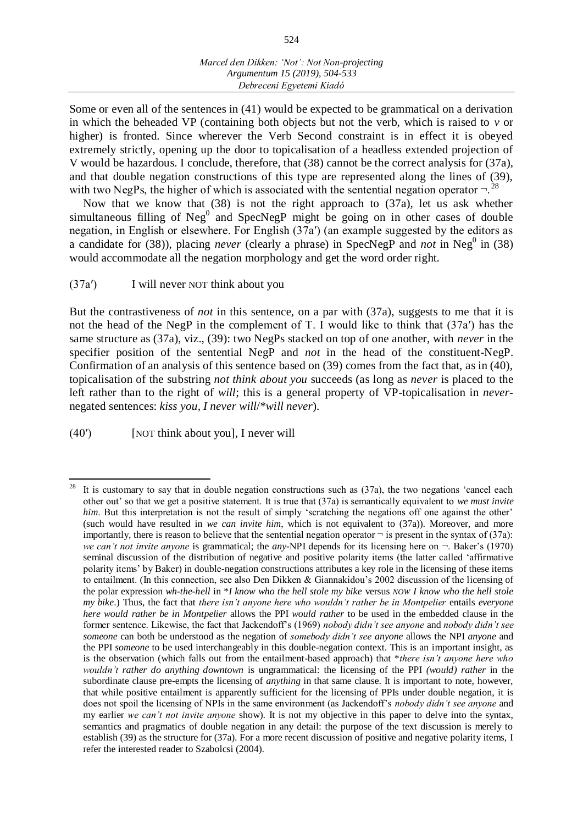Some or even all of the sentences in (41) would be expected to be grammatical on a derivation in which the beheaded VP (containing both objects but not the verb, which is raised to *v* or higher) is fronted. Since wherever the Verb Second constraint is in effect it is obeyed extremely strictly, opening up the door to topicalisation of a headless extended projection of V would be hazardous. I conclude, therefore, that (38) cannot be the correct analysis for (37a), and that double negation constructions of this type are represented along the lines of (39), with two NegPs, the higher of which is associated with the sentential negation operator  $\neg$ <sup>28</sup>

Now that we know that (38) is not the right approach to (37a), let us ask whether simultaneous filling of  $Neg^0$  and  $SpecNegP$  might be going on in other cases of double negation, in English or elsewhere. For English (37aʹ) (an example suggested by the editors as a candidate for (38)), placing *never* (clearly a phrase) in SpecNegP and *not* in Neg<sup>0</sup> in (38) would accommodate all the negation morphology and get the word order right.

## (37aʹ) I will never NOT think about you

But the contrastiveness of *not* in this sentence, on a par with (37a), suggests to me that it is not the head of the NegP in the complement of T. I would like to think that (37a<sup>'</sup>) has the same structure as (37a), viz., (39): two NegPs stacked on top of one another, with *never* in the specifier position of the sentential NegP and *not* in the head of the constituent-NegP. Confirmation of an analysis of this sentence based on (39) comes from the fact that, as in (40), topicalisation of the substring *not think about you* succeeds (as long as *never* is placed to the left rather than to the right of *will*; this is a general property of VP-topicalisation in *never*negated sentences: *kiss you, I never will*/\**will never*).

(40ʹ) [NOT think about you], I never will

<sup>28</sup> <sup>28</sup> It is customary to say that in double negation constructions such as (37a), the two negations 'cancel each other out' so that we get a positive statement. It is true that (37a) is semantically equivalent to *we must invite him*. But this interpretation is not the result of simply 'scratching the negations off one against the other' (such would have resulted in *we can invite him*, which is not equivalent to (37a)). Moreover, and more importantly, there is reason to believe that the sentential negation operator  $\neg$  is present in the syntax of (37a): *we can't not invite anyone* is grammatical; the *any*-NPI depends for its licensing here on ¬. Baker's (1970) seminal discussion of the distribution of negative and positive polarity items (the latter called 'affirmative polarity items' by Baker) in double-negation constructions attributes a key role in the licensing of these items to entailment. (In this connection, see also Den Dikken & Giannakidou's 2002 discussion of the licensing of the polar expression *wh-the-hell* in \**I know who the hell stole my bike* versus *NOW I know who the hell stole my bike*.) Thus, the fact that *there isn't anyone here who wouldn't rather be in Montpelier* entails *everyone here would rather be in Montpelier* allows the PPI *would rather* to be used in the embedded clause in the former sentence. Likewise, the fact that Jackendoff's (1969) *nobody didn't see anyone* and *nobody didn't see someone* can both be understood as the negation of *somebody didn't see anyone* allows the NPI *anyone* and the PPI *someone* to be used interchangeably in this double-negation context. This is an important insight, as is the observation (which falls out from the entailment-based approach) that \**there isn't anyone here who wouldn't rather do anything downtown* is ungrammatical: the licensing of the PPI *(would) rather* in the subordinate clause pre-empts the licensing of *anything* in that same clause. It is important to note, however, that while positive entailment is apparently sufficient for the licensing of PPIs under double negation, it is does not spoil the licensing of NPIs in the same environment (as Jackendoff's *nobody didn't see anyone* and my earlier *we can't not invite anyone* show). It is not my objective in this paper to delve into the syntax, semantics and pragmatics of double negation in any detail: the purpose of the text discussion is merely to establish (39) as the structure for (37a). For a more recent discussion of positive and negative polarity items, I refer the interested reader to Szabolcsi (2004).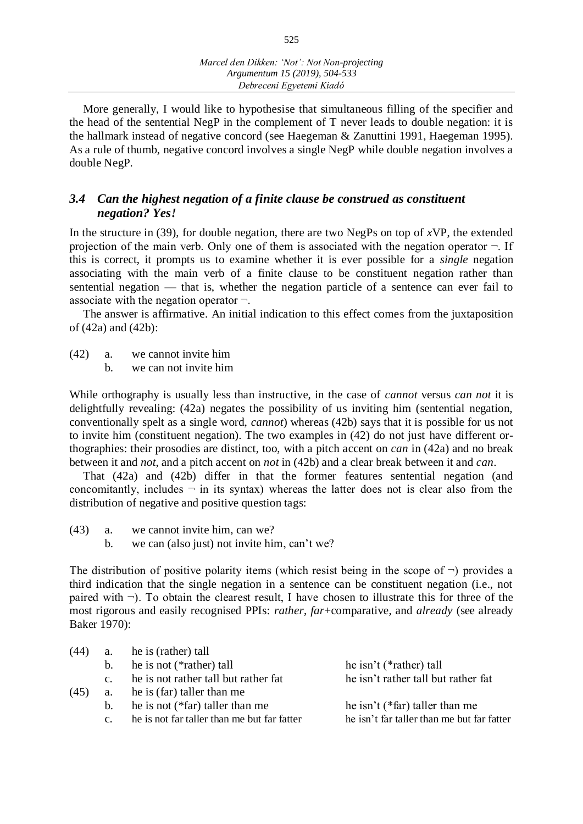525

More generally, I would like to hypothesise that simultaneous filling of the specifier and the head of the sentential NegP in the complement of T never leads to double negation: it is the hallmark instead of negative concord (see Haegeman & Zanuttini 1991, Haegeman 1995). As a rule of thumb, negative concord involves a single NegP while double negation involves a double NegP.

# *3.4 Can the highest negation of a finite clause be construed as constituent negation? Yes!*

In the structure in (39), for double negation, there are two NegPs on top of *x*VP, the extended projection of the main verb. Only one of them is associated with the negation operator  $\neg$ . If this is correct, it prompts us to examine whether it is ever possible for a *single* negation associating with the main verb of a finite clause to be constituent negation rather than sentential negation — that is, whether the negation particle of a sentence can ever fail to associate with the negation operator ¬.

The answer is affirmative. An initial indication to this effect comes from the juxtaposition of (42a) and (42b):

- (42) a. we cannot invite him
	- b. we can not invite him

While orthography is usually less than instructive, in the case of *cannot* versus *can not* it is delightfully revealing: (42a) negates the possibility of us inviting him (sentential negation, conventionally spelt as a single word, *cannot*) whereas (42b) says that it is possible for us not to invite him (constituent negation). The two examples in (42) do not just have different orthographies: their prosodies are distinct, too, with a pitch accent on *can* in (42a) and no break between it and *not*, and a pitch accent on *not* in (42b) and a clear break between it and *can*.

That (42a) and (42b) differ in that the former features sentential negation (and concomitantly, includes  $\neg$  in its syntax) whereas the latter does not is clear also from the distribution of negative and positive question tags:

- (43) a. we cannot invite him, can we?
	- b. we can (also just) not invite him, can't we?

The distribution of positive polarity items (which resist being in the scope of  $\neg$ ) provides a third indication that the single negation in a sentence can be constituent negation (i.e., not paired with  $\neg$ ). To obtain the clearest result, I have chosen to illustrate this for three of the most rigorous and easily recognised PPIs: *rather*, *far*+comparative, and *already* (see already Baker 1970):

| (44) | a.             | he is (rather) tall                         |                                            |
|------|----------------|---------------------------------------------|--------------------------------------------|
|      | b.             | he is not (*rather) tall                    | he isn't (*rather) tall                    |
|      | $C_{\cdot}$    | he is not rather tall but rather fat        | he isn't rather tall but rather fat        |
| (45) | a.             | he is (far) taller than me                  |                                            |
|      | $h_{\cdot}$    | he is not $(*far)$ taller than me           | he isn't (*far) taller than me             |
|      | $\mathbf{C}$ . | he is not far taller than me but far fatter | he isn't far taller than me but far fatter |
|      |                |                                             |                                            |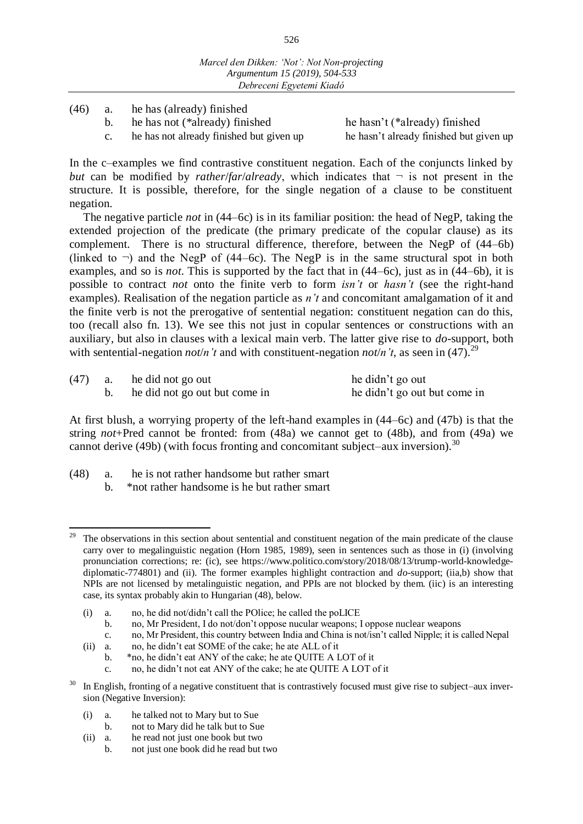- (46) a. he has (already) finished
	- b. he has not (\*already) finished he hasn't (\*already) finished
	- c. he has not already finished but given up he hasn't already finished but given up

In the c–examples we find contrastive constituent negation. Each of the conjuncts linked by *but* can be modified by *rather*/*far*/*already*, which indicates that  $\neg$  is not present in the structure. It is possible, therefore, for the single negation of a clause to be constituent negation.

The negative particle *not* in (44–6c) is in its familiar position: the head of NegP, taking the extended projection of the predicate (the primary predicate of the copular clause) as its complement. There is no structural difference, therefore, between the NegP of (44–6b) (linked to  $\neg$ ) and the NegP of (44–6c). The NegP is in the same structural spot in both examples, and so is *not*. This is supported by the fact that in (44–6c), just as in (44–6b), it is possible to contract *not* onto the finite verb to form *isn't* or *hasn't* (see the right-hand examples). Realisation of the negation particle as *n't* and concomitant amalgamation of it and the finite verb is not the prerogative of sentential negation: constituent negation can do this, too (recall also fn. 13). We see this not just in copular sentences or constructions with an auxiliary, but also in clauses with a lexical main verb. The latter give rise to *do*-support, both with sentential-negation *not*/*n't* and with constituent-negation *not*/*n't*, as seen in (47).<sup>29</sup>

|  | $(47)$ a. he did not go out   | he didn't go out             |
|--|-------------------------------|------------------------------|
|  | he did not go out but come in | he didn't go out but come in |

At first blush, a worrying property of the left-hand examples in (44–6c) and (47b) is that the string *not*+Pred cannot be fronted: from (48a) we cannot get to (48b), and from (49a) we cannot derive (49b) (with focus fronting and concomitant subject–aux inversion).<sup>30</sup>

- (48) a. he is not rather handsome but rather smart
	- b. \*not rather handsome is he but rather smart

- (i) a. no, he did not/didn't call the POlice; he called the poLICE
	- b. no, Mr President, I do not/don't oppose nucular weapons; I oppose nuclear weapons
	- c. no, Mr President, this country between India and China is not/isn't called Nipple; it is called Nepal
- (ii) a. no, he didn't eat SOME of the cake; he ate ALL of it
	- b. \*no, he didn't eat ANY of the cake; he ate QUITE A LOT of it
	- c. no, he didn't not eat ANY of the cake; he ate QUITE A LOT of it

- (i) a. he talked not to Mary but to Sue
	- b. not to Mary did he talk but to Sue
- (ii) a. he read not just one book but two
	- b. not just one book did he read but two

<sup>29</sup> The observations in this section about sentential and constituent negation of the main predicate of the clause carry over to megalinguistic negation (Horn 1985, 1989), seen in sentences such as those in (i) (involving pronunciation corrections; re: (ic), see https://www.politico.com/story/2018/08/13/trump-world-knowledgediplomatic-774801) and (ii). The former examples highlight contraction and *do*-support; (iia,b) show that NPIs are not licensed by metalinguistic negation, and PPIs are not blocked by them. (iic) is an interesting case, its syntax probably akin to Hungarian (48), below.

In English, fronting of a negative constituent that is contrastively focused must give rise to subject–aux inversion (Negative Inversion):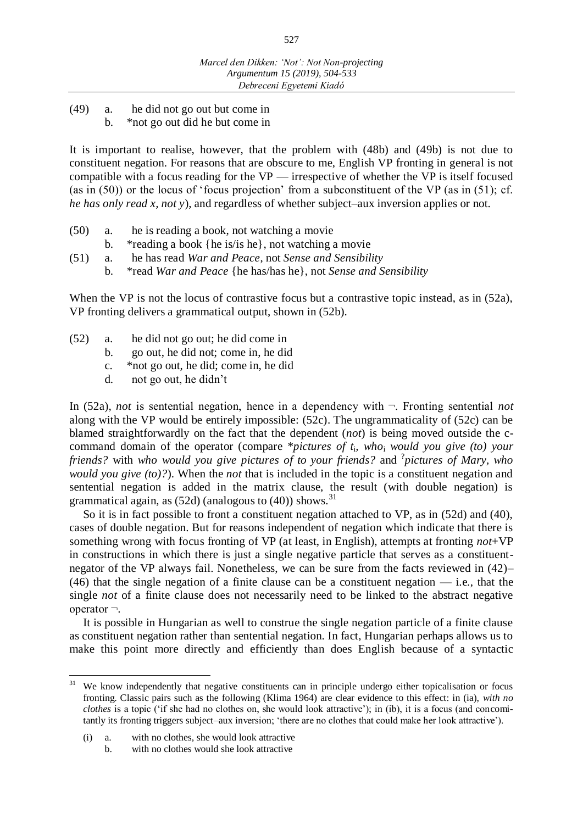527

- (49) a. he did not go out but come in
	- b. \*not go out did he but come in

It is important to realise, however, that the problem with (48b) and (49b) is not due to constituent negation. For reasons that are obscure to me, English VP fronting in general is not compatible with a focus reading for the  $VP$  — irrespective of whether the VP is itself focused (as in (50)) or the locus of 'focus projection' from a subconstituent of the VP (as in (51); cf. *he has only read x, not y*), and regardless of whether subject–aux inversion applies or not.

- (50) a. he is reading a book, not watching a movie b. \*reading a book {he is/is he}, not watching a movie
- (51) a. he has read *War and Peace*, not *Sense and Sensibility*
	- b. \*read *War and Peace* {he has/has he}, not *Sense and Sensibility*

When the VP is not the locus of contrastive focus but a contrastive topic instead, as in (52a), VP fronting delivers a grammatical output, shown in (52b).

- (52) a. he did not go out; he did come in
	- b. go out, he did not; come in, he did
	- c. \*not go out, he did; come in, he did
	- d. not go out, he didn't

In (52a), *not* is sentential negation, hence in a dependency with ¬. Fronting sentential *not* along with the VP would be entirely impossible: (52c). The ungrammaticality of (52c) can be blamed straightforwardly on the fact that the dependent (*not*) is being moved outside the ccommand domain of the operator (compare \**pictures of t*i*, who*<sup>i</sup> *would you give (to) your friends?* with *who would you give pictures of to your friends?* and ? *pictures of Mary, who would you give (to)?*). When the *not* that is included in the topic is a constituent negation and sentential negation is added in the matrix clause, the result (with double negation) is grammatical again, as  $(52d)$  (analogous to  $(40)$ ) shows.<sup>31</sup>

So it is in fact possible to front a constituent negation attached to VP, as in (52d) and (40), cases of double negation. But for reasons independent of negation which indicate that there is something wrong with focus fronting of VP (at least, in English), attempts at fronting *not*+VP in constructions in which there is just a single negative particle that serves as a constituentnegator of the VP always fail. Nonetheless, we can be sure from the facts reviewed in (42)– (46) that the single negation of a finite clause can be a constituent negation — i.e., that the single *not* of a finite clause does not necessarily need to be linked to the abstract negative operator ¬.

It is possible in Hungarian as well to construe the single negation particle of a finite clause as constituent negation rather than sentential negation. In fact, Hungarian perhaps allows us to make this point more directly and efficiently than does English because of a syntactic

 $31\,$ We know independently that negative constituents can in principle undergo either topicalisation or focus fronting. Classic pairs such as the following (Klima 1964) are clear evidence to this effect: in (ia), *with no clothes* is a topic ('if she had no clothes on, she would look attractive'); in (ib), it is a focus (and concomitantly its fronting triggers subject–aux inversion; 'there are no clothes that could make her look attractive').

<sup>(</sup>i) a. with no clothes, she would look attractive

b. with no clothes would she look attractive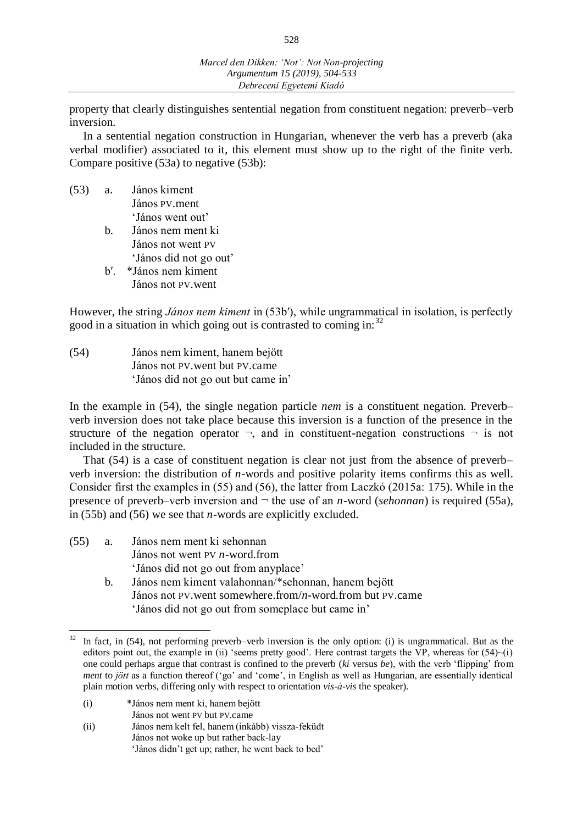528

property that clearly distinguishes sentential negation from constituent negation: preverb–verb inversion.

In a sentential negation construction in Hungarian, whenever the verb has a preverb (aka verbal modifier) associated to it, this element must show up to the right of the finite verb. Compare positive (53a) to negative (53b):

| (53) | a.          | János kiment           |
|------|-------------|------------------------|
|      |             | János PV.ment          |
|      |             | 'János went out'       |
|      | $h_{\cdot}$ | János nem ment ki      |
|      |             | János not went PV      |
|      |             | 'János did not go out' |
|      |             | b'. *János nem kiment  |
|      |             | János not PV. went     |

However, the string *János nem kiment* in (53bʹ), while ungrammatical in isolation, is perfectly good in a situation in which going out is contrasted to coming in:  $32$ 

(54) János nem kiment, hanem bejött János not PV.went but PV.came 'János did not go out but came in'

In the example in (54), the single negation particle *nem* is a constituent negation. Preverb– verb inversion does not take place because this inversion is a function of the presence in the structure of the negation operator  $\neg$ , and in constituent-negation constructions  $\neg$  is not included in the structure.

That (54) is a case of constituent negation is clear not just from the absence of preverb– verb inversion: the distribution of *n*-words and positive polarity items confirms this as well. Consider first the examples in (55) and (56), the latter from Laczkó (2015a: 175). While in the presence of preverb–verb inversion and  $\neg$  the use of an *n*-word (*sehonnan*) is required (55a), in (55b) and (56) we see that *n*-words are explicitly excluded.

- (55) a. János nem ment ki sehonnan János not went PV *n*-word.from 'János did not go out from anyplace'
	- b. János nem kiment valahonnan/\*sehonnan, hanem bejött János not PV.went somewhere.from/*n*-word.from but PV.came 'János did not go out from someplace but came in'

(i) \*János nem ment ki, hanem bejött

 $\overline{a}$ 

- János not went PV but PV.came
- (ii) János nem kelt fel, hanem (inkább) vissza-feküdt János not woke up but rather back-lay 'János didn't get up; rather, he went back to bed'

In fact, in (54), not performing preverb–verb inversion is the only option: (i) is ungrammatical. But as the editors point out, the example in (ii) 'seems pretty good'. Here contrast targets the VP, whereas for (54)~(i) one could perhaps argue that contrast is confined to the preverb (*ki* versus *be*), with the verb 'flipping' from *ment* to *jött* as a function thereof ('go' and 'come', in English as well as Hungarian, are essentially identical plain motion verbs, differing only with respect to orientation *vis-à-vis* the speaker).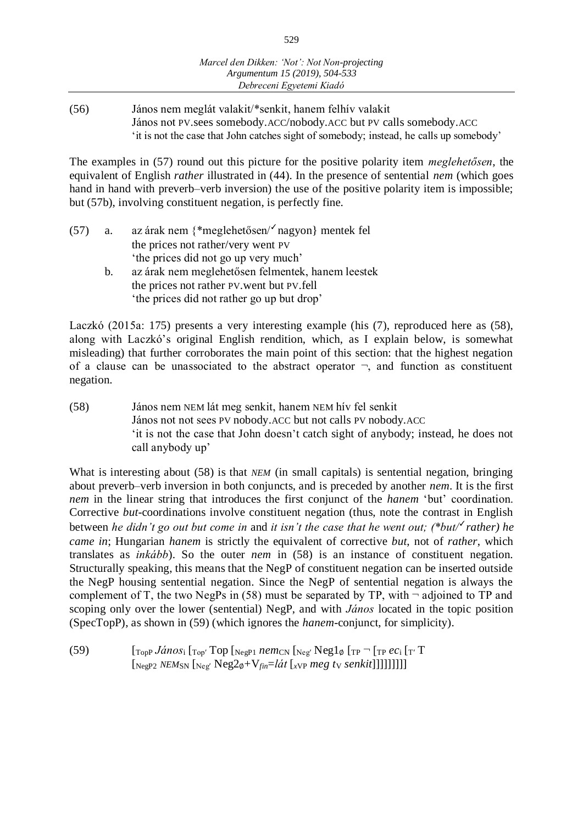(56) János nem meglát valakit/\*senkit, hanem felhív valakit János not PV.sees somebody.ACC/nobody.ACC but PV calls somebody.ACC 'it is not the case that John catches sight of somebody; instead, he calls up somebody'

The examples in (57) round out this picture for the positive polarity item *meglehetősen*, the equivalent of English *rather* illustrated in (44). In the presence of sentential *nem* (which goes hand in hand with preverb–verb inversion) the use of the positive polarity item is impossible; but (57b), involving constituent negation, is perfectly fine.

| (57) | a. | az árak nem {*meglehetősen/' nagyon} mentek fel   |
|------|----|---------------------------------------------------|
|      |    | the prices not rather/very went PV                |
|      |    | 'the prices did not go up very much'              |
|      | b. | az árak nem meglehetősen felmentek, hanem leestek |
|      |    | the prices not rather PV, went but PV, fell       |
|      |    | 'the prices did not rather go up but drop'        |

Laczkó (2015a: 175) presents a very interesting example (his (7), reproduced here as (58), along with Laczkó's original English rendition, which, as I explain below, is somewhat misleading) that further corroborates the main point of this section: that the highest negation of a clause can be unassociated to the abstract operator  $\neg$ , and function as constituent negation.

(58) János nem NEM lát meg senkit, hanem NEM hív fel senkit János not not sees PV nobody.ACC but not calls PV nobody.ACC 'it is not the case that John doesn't catch sight of anybody; instead, he does not call anybody up'

What is interesting about (58) is that *NEM* (in small capitals) is sentential negation, bringing about preverb–verb inversion in both conjuncts, and is preceded by another *nem*. It is the first *nem* in the linear string that introduces the first conjunct of the *hanem* 'but' coordination. Corrective *but*-coordinations involve constituent negation (thus, note the contrast in English between *he didn't go out but come in and it isn't the case that he went out; (\*but/<sup>* $\checkmark$ *</sup>rather) he came in*; Hungarian *hanem* is strictly the equivalent of corrective *but*, not of *rather*, which translates as *inkább*). So the outer *nem* in (58) is an instance of constituent negation. Structurally speaking, this means that the NegP of constituent negation can be inserted outside the NegP housing sentential negation. Since the NegP of sentential negation is always the complement of T, the two NegPs in (58) must be separated by TP, with  $\neg$  adjoined to TP and scoping only over the lower (sentential) NegP, and with *János* located in the topic position (SpecTopP), as shown in (59) (which ignores the *hanem*-conjunct, for simplicity).

(59)  $\left[\begin{matrix}T_{\text{opp}}\ \text{János}_i\ \begin{matrix}T_{\text{op}}\end{matrix} \text{Top}\ \begin{matrix}N_{\text{e}}\text{gpl}\ \text{neq}\end{matrix} \text{new}_{\text{CN}}\ \begin{matrix}N_{\text{e}}\text{g}}\ \text{Negl}\ \text{g}}\ \begin{matrix}T_{\text{p}}\end{matrix} \text{Top}\ \begin{matrix}T_{\text{p}}\ \text{pre}}\end{matrix} \right]$  $\left[\frac{N_{\text{e}g}P2}{N_{\text{SN}}}\left[\frac{N_{\text{e}g}}{N_{\text{e}g}}\right]\left[\frac{N_{\text{f}m}}{N_{\text{f}m}}\right] - \frac{1}{d}t\left[\frac{N_{\text{e}g}}{N_{\text{e}g}}\right]\left[\frac{N_{\text{e}g}}{N_{\text{e}g}}\right]\left[\frac{N_{\text{e}g}}{N_{\text{e}g}}\right] - \frac{1}{d}t\left[\frac{N_{\text{e}g}}{N_{\text{e}g}}\right]\left[\frac{N_{\text{e}g}}{N_{\text{$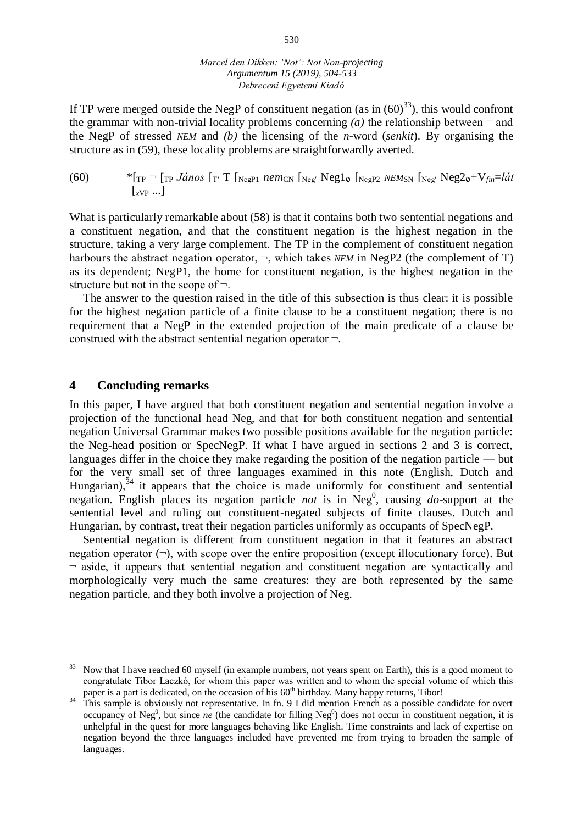If TP were merged outside the NegP of constituent negation (as in  $(60)^{33}$ ), this would confront the grammar with non-trivial locality problems concerning  $(a)$  the relationship between  $\neg$  and the NegP of stressed *NEM* and *(b)* the licensing of the *n*-word (*senkit*). By organising the structure as in (59), these locality problems are straightforwardly averted.

(60) \*[TP ¬ [TP *János* [Tʹ T [NegP1 *nem*CN [Negʹ Neg1<sup>∅</sup> [NegP2 *NEM*SN [Negʹ Neg2∅+V*fin*=*lát*  $[xVP...]$ 

What is particularly remarkable about (58) is that it contains both two sentential negations and a constituent negation, and that the constituent negation is the highest negation in the structure, taking a very large complement. The TP in the complement of constituent negation harbours the abstract negation operator,  $\neg$ , which takes *NEM* in NegP2 (the complement of T) as its dependent; NegP1, the home for constituent negation, is the highest negation in the structure but not in the scope of  $\neg$ .

The answer to the question raised in the title of this subsection is thus clear: it is possible for the highest negation particle of a finite clause to be a constituent negation; there is no requirement that a NegP in the extended projection of the main predicate of a clause be construed with the abstract sentential negation operator ¬.

#### **4 Concluding remarks**

In this paper, I have argued that both constituent negation and sentential negation involve a projection of the functional head Neg, and that for both constituent negation and sentential negation Universal Grammar makes two possible positions available for the negation particle: the Neg-head position or SpecNegP. If what I have argued in sections 2 and 3 is correct, languages differ in the choice they make regarding the position of the negation particle — but for the very small set of three languages examined in this note (English, Dutch and Hungarian), $34$  it appears that the choice is made uniformly for constituent and sentential negation. English places its negation particle *not* is in Neg<sup>0</sup>, causing *do*-support at the sentential level and ruling out constituent-negated subjects of finite clauses. Dutch and Hungarian, by contrast, treat their negation particles uniformly as occupants of SpecNegP.

Sentential negation is different from constituent negation in that it features an abstract negation operator  $(\neg)$ , with scope over the entire proposition (except illocutionary force). But  $\neg$  aside, it appears that sentential negation and constituent negation are syntactically and morphologically very much the same creatures: they are both represented by the same negation particle, and they both involve a projection of Neg.

<sup>33</sup> <sup>33</sup> Now that I have reached 60 myself (in example numbers, not years spent on Earth), this is a good moment to congratulate Tibor Laczkó, for whom this paper was written and to whom the special volume of which this paper is a part is dedicated, on the occasion of his 60<sup>th</sup> birthday. Many happy returns, Tibor!

<sup>&</sup>lt;sup>34</sup> This sample is obviously not representative. In fn. 9 I did mention French as a possible candidate for overt occupancy of Neg<sup>0</sup>, but since *ne* (the candidate for filling Neg<sup>0</sup>) does not occur in constituent negation, it is unhelpful in the quest for more languages behaving like English. Time constraints and lack of expertise on negation beyond the three languages included have prevented me from trying to broaden the sample of languages.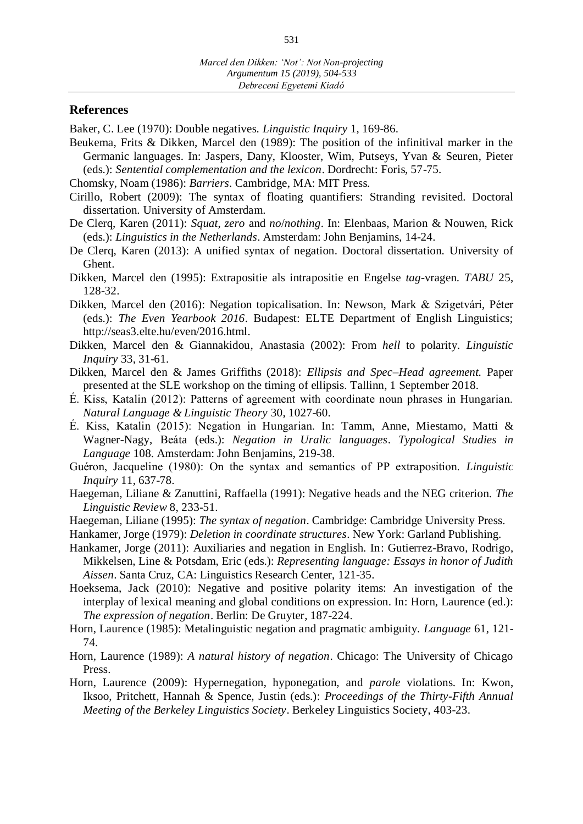#### **References**

Baker, C. Lee (1970): Double negatives. *Linguistic Inquiry* 1, 169-86.

- Beukema, Frits & Dikken, Marcel den (1989): The position of the infinitival marker in the Germanic languages. In: Jaspers, Dany, Klooster, Wim, Putseys, Yvan & Seuren, Pieter (eds.): *Sentential complementation and the lexicon*. Dordrecht: Foris, 57-75.
- Chomsky, Noam (1986): *Barriers*. Cambridge, MA: MIT Press.
- Cirillo, Robert (2009): The syntax of floating quantifiers: Stranding revisited. Doctoral dissertation. University of Amsterdam.
- De Clerq, Karen (2011): *Squat*, *zero* and *no*/*nothing*. In: Elenbaas, Marion & Nouwen, Rick (eds.): *Linguistics in the Netherlands*. Amsterdam: John Benjamins, 14-24.
- De Clerq, Karen (2013): A unified syntax of negation. Doctoral dissertation. University of Ghent.
- Dikken, Marcel den (1995): Extrapositie als intrapositie en Engelse *tag*-vragen. *TABU* 25, 128-32.
- Dikken, Marcel den (2016): Negation topicalisation. In: Newson, Mark & Szigetvári, Péter (eds.): *The Even Yearbook 2016*. Budapest: ELTE Department of English Linguistics; http://seas3.elte.hu/even/2016.html.
- Dikken, Marcel den & Giannakidou, Anastasia (2002): From *hell* to polarity. *Linguistic Inquiry* 33, 31-61.
- Dikken, Marcel den & James Griffiths (2018): *Ellipsis and Spec–Head agreement.* Paper presented at the SLE workshop on the timing of ellipsis. Tallinn, 1 September 2018.
- É. Kiss, Katalin (2012): Patterns of agreement with coordinate noun phrases in Hungarian. *Natural Language & Linguistic Theory* 30, 1027-60.
- É. Kiss, Katalin (2015): Negation in Hungarian. In: Tamm, Anne, Miestamo, Matti & Wagner-Nagy, Beáta (eds.): *Negation in Uralic languages*. *Typological Studies in Language* 108*.* Amsterdam: John Benjamins, 219-38.
- Guéron, Jacqueline (1980): On the syntax and semantics of PP extraposition. *Linguistic Inquiry* 11, 637-78.
- Haegeman, Liliane & Zanuttini, Raffaella (1991): Negative heads and the NEG criterion. *The Linguistic Review* 8, 233-51.
- Haegeman, Liliane (1995): *The syntax of negation*. Cambridge: Cambridge University Press.
- Hankamer, Jorge (1979): *Deletion in coordinate structures*. New York: Garland Publishing.
- Hankamer, Jorge (2011): Auxiliaries and negation in English. In: Gutierrez-Bravo, Rodrigo, Mikkelsen, Line & Potsdam, Eric (eds.): *Representing language: Essays in honor of Judith Aissen*. Santa Cruz, CA: Linguistics Research Center, 121-35.
- Hoeksema, Jack (2010): Negative and positive polarity items: An investigation of the interplay of lexical meaning and global conditions on expression. In: Horn, Laurence (ed.): *The expression of negation*. Berlin: De Gruyter, 187-224.
- Horn, Laurence (1985): Metalinguistic negation and pragmatic ambiguity. *Language* 61, 121- 74.
- Horn, Laurence (1989): *A natural history of negation*. Chicago: The University of Chicago Press.
- Horn, Laurence (2009): Hypernegation, hyponegation, and *parole* violations. In: Kwon, Iksoo, Pritchett, Hannah & Spence, Justin (eds.): *Proceedings of the Thirty-Fifth Annual Meeting of the Berkeley Linguistics Society*. Berkeley Linguistics Society, 403-23.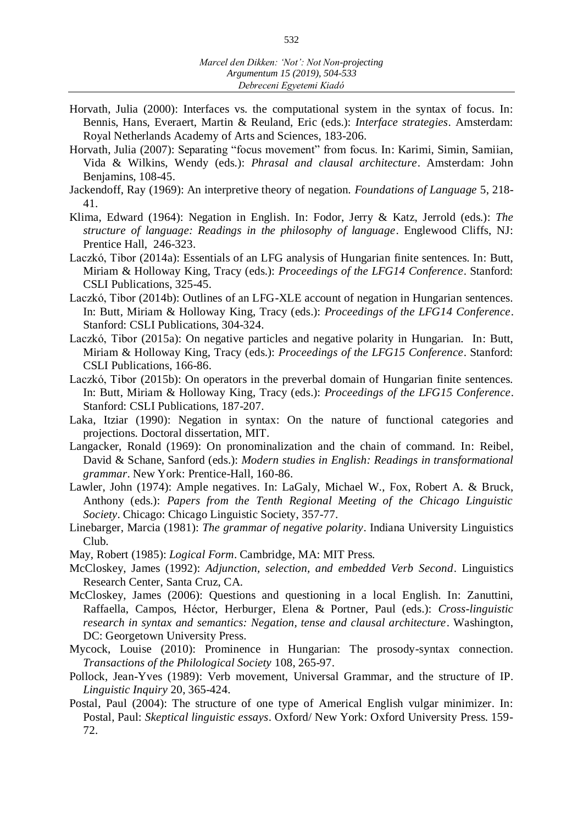- Horvath, Julia (2000): Interfaces vs. the computational system in the syntax of focus. In: Bennis, Hans, Everaert, Martin & Reuland, Eric (eds.): *Interface strategies*. Amsterdam: Royal Netherlands Academy of Arts and Sciences, 183-206.
- Horvath, Julia (2007): Separating "focus movement" from focus. In: Karimi, Simin, Samiian, Vida & Wilkins, Wendy (eds.): *Phrasal and clausal architecture*. Amsterdam: John Benjamins, 108-45.
- Jackendoff, Ray (1969): An interpretive theory of negation. *Foundations of Language* 5, 218- 41.
- Klima, Edward (1964): Negation in English. In: Fodor, Jerry & Katz, Jerrold (eds.): *The structure of language: Readings in the philosophy of language*. Englewood Cliffs, NJ: Prentice Hall, 246-323.
- Laczkó, Tibor (2014a): Essentials of an LFG analysis of Hungarian finite sentences. In: Butt, Miriam & Holloway King, Tracy (eds.): *Proceedings of the LFG14 Conference*. Stanford: CSLI Publications, 325-45.
- Laczkó, Tibor (2014b): Outlines of an LFG-XLE account of negation in Hungarian sentences. In: Butt, Miriam & Holloway King, Tracy (eds.): *Proceedings of the LFG14 Conference*. Stanford: CSLI Publications, 304-324.
- Laczkó, Tibor (2015a): On negative particles and negative polarity in Hungarian. In: Butt, Miriam & Holloway King, Tracy (eds.): *Proceedings of the LFG15 Conference*. Stanford: CSLI Publications, 166-86.
- Laczkó, Tibor (2015b): On operators in the preverbal domain of Hungarian finite sentences. In: Butt, Miriam & Holloway King, Tracy (eds.): *Proceedings of the LFG15 Conference*. Stanford: CSLI Publications, 187-207.
- Laka, Itziar (1990): Negation in syntax: On the nature of functional categories and projections. Doctoral dissertation, MIT.
- Langacker, Ronald (1969): On pronominalization and the chain of command. In: Reibel, David & Schane, Sanford (eds.): *Modern studies in English: Readings in transformational grammar*. New York: Prentice-Hall, 160-86.
- Lawler, John (1974): Ample negatives. In: LaGaly, Michael W., Fox, Robert A. & Bruck, Anthony (eds.): *Papers from the Tenth Regional Meeting of the Chicago Linguistic Society*. Chicago: Chicago Linguistic Society, 357-77.
- Linebarger, Marcia (1981): *The grammar of negative polarity*. Indiana University Linguistics Club.
- May, Robert (1985): *Logical Form*. Cambridge, MA: MIT Press.
- McCloskey, James (1992): *Adjunction, selection, and embedded Verb Second*. Linguistics Research Center, Santa Cruz, CA.
- McCloskey, James (2006): Questions and questioning in a local English. In: Zanuttini, Raffaella, Campos, Héctor, Herburger, Elena & Portner, Paul (eds.): *Cross-linguistic research in syntax and semantics: Negation, tense and clausal architecture*. Washington, DC: Georgetown University Press.
- Mycock, Louise (2010): Prominence in Hungarian: The prosody-syntax connection. *Transactions of the Philological Society* 108, 265-97.
- Pollock, Jean-Yves (1989): Verb movement, Universal Grammar, and the structure of IP. *Linguistic Inquiry* 20, 365-424.
- Postal, Paul (2004): The structure of one type of Americal English vulgar minimizer. In: Postal, Paul: *Skeptical linguistic essays*. Oxford/ New York: Oxford University Press. 159- 72.